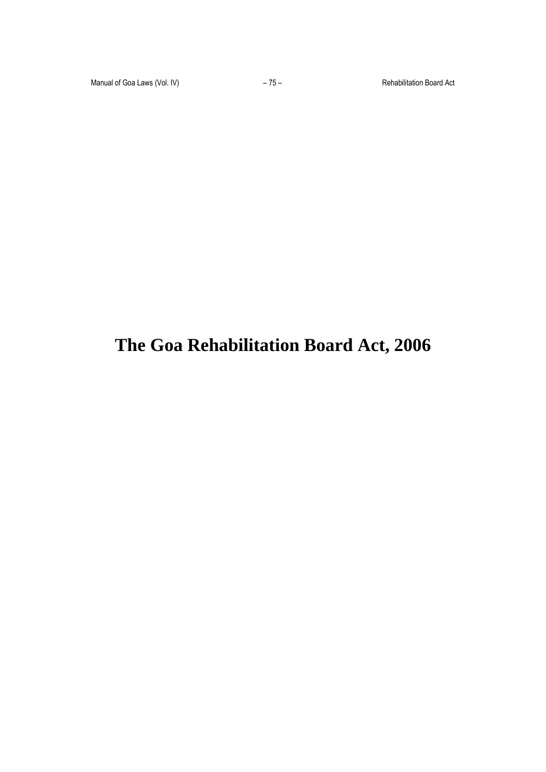# **The Goa Rehabilitation Board Act, 2006**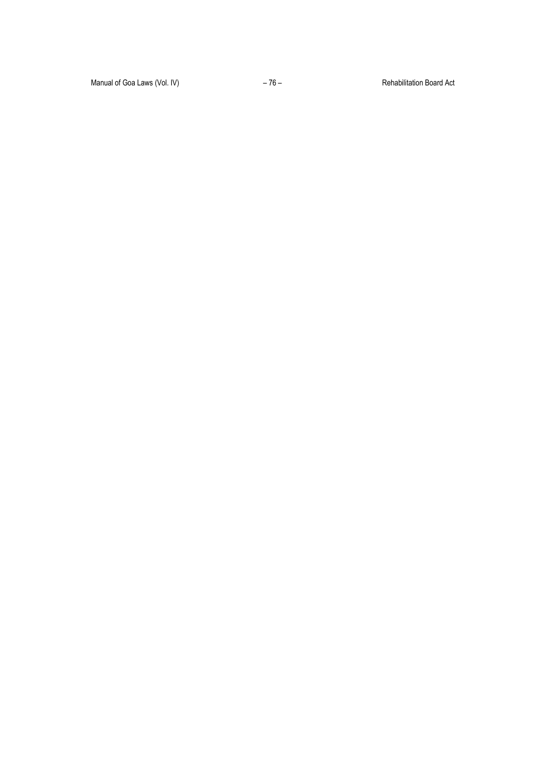Manual of Goa Laws (Vol. IV)  $-76 -$ <br>  $-76 -$ <br>
Rehabilitation Board Act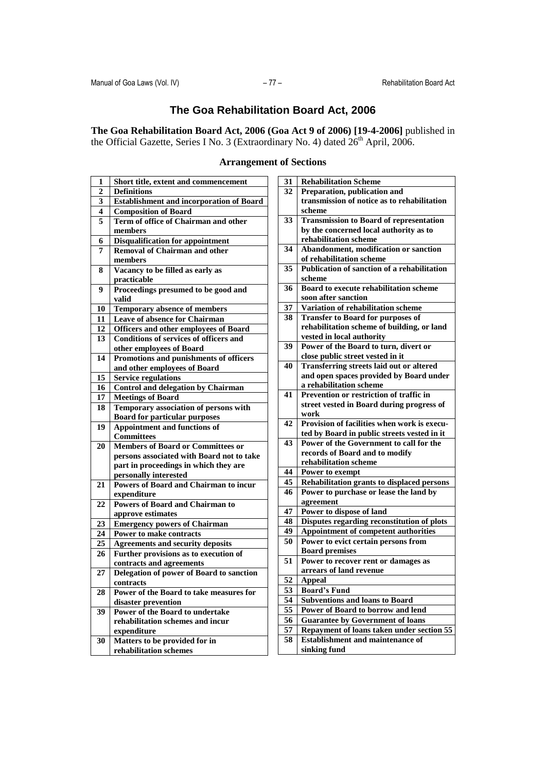# **The Goa Rehabilitation Board Act, 2006**

**The Goa Rehabilitation Board Act, 2006 (Goa Act 9 of 2006) [19-4-2006]** published in the Official Gazette, Series I No. 3 (Extraordinary No. 4) dated 26<sup>th</sup> April, 2006.

# **Arrangement of Sections**

| 1              | Short title, extent and commencement            |                          |
|----------------|-------------------------------------------------|--------------------------|
| $\overline{c}$ | <b>Definitions</b>                              |                          |
| 3              | <b>Establishment and incorporation of Board</b> |                          |
| 4              | <b>Composition of Board</b>                     |                          |
| 5              | Term of office of Chairman and other            |                          |
|                | members                                         |                          |
| 6              | <b>Disqualification for appointment</b>         |                          |
| 7              | <b>Removal of Chairman and other</b>            |                          |
|                | members                                         |                          |
| 8              | Vacancy to be filled as early as                |                          |
|                | practicable                                     |                          |
| 9              | Proceedings presumed to be good and             |                          |
|                | valid                                           |                          |
| 10             | <b>Temporary absence of members</b>             |                          |
| 11             | <b>Leave of absence for Chairman</b>            |                          |
| 12             | <b>Officers and other employees of Board</b>    |                          |
| 13             | <b>Conditions of services of officers and</b>   |                          |
|                | other employees of Board                        |                          |
| 14             | Promotions and punishments of officers          |                          |
|                | and other employees of Board                    |                          |
| 15             | <b>Service regulations</b>                      |                          |
| 16             | <b>Control and delegation by Chairman</b>       |                          |
| 17             | <b>Meetings of Board</b>                        |                          |
| 18             | Temporary association of persons with           |                          |
|                | <b>Board for particular purposes</b>            |                          |
| 19             | <b>Appointment and functions of</b>             |                          |
|                | <b>Committees</b>                               |                          |
| 20             | <b>Members of Board or Committees or</b>        |                          |
|                | persons associated with Board not to take       |                          |
|                | part in proceedings in which they are           |                          |
|                | personally interested                           |                          |
| 21             | <b>Powers of Board and Chairman to incur</b>    |                          |
|                | expenditure                                     |                          |
| 22             | <b>Powers of Board and Chairman to</b>          |                          |
|                | approve estimates                               |                          |
| 23             | <b>Emergency powers of Chairman</b>             | $\overline{\phantom{a}}$ |
| 24             | Power to make contracts                         | ć                        |
| 25             | <b>Agreements and security deposits</b>         |                          |
| 26             | Further provisions as to execution of           |                          |
|                | contracts and agreements                        |                          |
| 27             | Delegation of power of Board to sanction        |                          |
|                | contracts                                       |                          |
| 28             | Power of the Board to take measures for         |                          |
|                | disaster prevention                             |                          |
| 39             | Power of the Board to undertake                 |                          |
|                | rehabilitation schemes and incur                |                          |
|                | expenditure                                     |                          |
| 30             | Matters to be provided for in                   |                          |
|                | rehabilitation schemes                          |                          |
|                |                                                 |                          |

| 31              | <b>Rehabilitation Scheme</b>                                       |
|-----------------|--------------------------------------------------------------------|
| 32              | Preparation, publication and                                       |
|                 | transmission of notice as to rehabilitation                        |
|                 | scheme                                                             |
| 33              | <b>Transmission to Board of representation</b>                     |
|                 | by the concerned local authority as to                             |
|                 | rehabilitation scheme                                              |
| 34              | Abandonment, modification or sanction                              |
|                 | of rehabilitation scheme                                           |
| 35              | Publication of sanction of a rehabilitation                        |
|                 | scheme                                                             |
| 36              | Board to execute rehabilitation scheme                             |
|                 | soon after sanction                                                |
| 37              | Variation of rehabilitation scheme                                 |
| 38              | <b>Transfer to Board for purposes of</b>                           |
|                 | rehabilitation scheme of building, or land                         |
|                 | vested in local authority                                          |
| 39              | Power of the Board to turn, divert or                              |
|                 | close public street vested in it                                   |
| 40              | <b>Transferring streets laid out or altered</b>                    |
|                 | and open spaces provided by Board under                            |
| 41              | a rehabilitation scheme<br>Prevention or restriction of traffic in |
|                 | street vested in Board during progress of                          |
|                 | work                                                               |
| 42              | Provision of facilities when work is execu-                        |
|                 | ted by Board in public streets vested in it                        |
| 43              | Power of the Government to call for the                            |
|                 | records of Board and to modify                                     |
|                 | rehabilitation scheme                                              |
| 44              | Power to exempt                                                    |
| 45              | Rehabilitation grants to displaced persons                         |
| 46              | Power to purchase or lease the land by                             |
|                 | agreement                                                          |
| 47              | Power to dispose of land                                           |
| 48              | Disputes regarding reconstitution of plots                         |
| 49              | <b>Appointment of competent authorities</b>                        |
| 50              | Power to evict certain persons from                                |
|                 | <b>Board premises</b>                                              |
| 51              | Power to recover rent or damages as                                |
|                 | arrears of land revenue                                            |
| 52              | <b>Appeal</b>                                                      |
| 53              | <b>Board's Fund</b>                                                |
| $\overline{54}$ | <b>Subventions and loans to Board</b>                              |
| $\overline{55}$ | Power of Board to borrow and lend                                  |
| 56              | <b>Guarantee by Government of loans</b>                            |
| 57              | Repayment of loans taken under section 55                          |
| 58              | <b>Establishment and maintenance of</b>                            |
|                 | sinking fund                                                       |
|                 |                                                                    |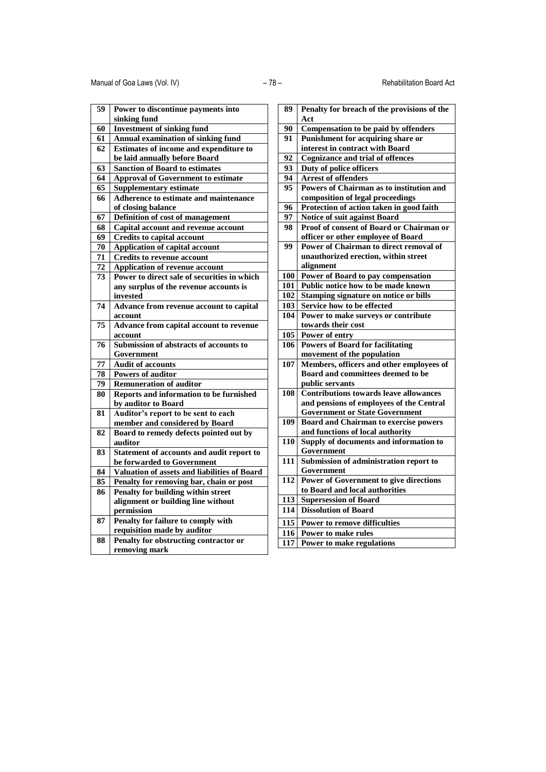Manual of Goa Laws (Vol. IV)  $-78 -$ <br>Alexander Solution Board Act

| 59              | Power to discontinue payments into           |
|-----------------|----------------------------------------------|
|                 | sinking fund                                 |
| 60              | <b>Investment of sinking fund</b>            |
| 61              | <b>Annual examination of sinking fund</b>    |
| 62              | Estimates of income and expenditure to       |
|                 | be laid annually before Board                |
| $\overline{63}$ | <b>Sanction of Board to estimates</b>        |
| 64              | <b>Approval of Government to estimate</b>    |
| 65              | <b>Supplementary estimate</b>                |
| 66              | Adherence to estimate and maintenance        |
|                 | of closing balance                           |
| 67              | Definition of cost of management             |
| 68              | Capital account and revenue account          |
| 69              | <b>Credits to capital account</b>            |
| 70              | <b>Application of capital account</b>        |
| 71              | <b>Credits to revenue account</b>            |
| 72              | <b>Application of revenue account</b>        |
| 73              | Power to direct sale of securities in which  |
|                 | any surplus of the revenue accounts is       |
|                 | invested                                     |
| 74              | Advance from revenue account to capital      |
|                 | account                                      |
| 75              | Advance from capital account to revenue      |
|                 | account                                      |
| 76              | Submission of abstracts of accounts to       |
|                 | Government                                   |
| 77              | <b>Audit of accounts</b>                     |
| 78              | Powers of auditor                            |
| 79              | <b>Remuneration of auditor</b>               |
| 80              | Reports and information to be furnished      |
|                 | by auditor to Board                          |
| 81              | Auditor's report to be sent to each          |
|                 | member and considered by Board               |
| $\overline{82}$ | Board to remedy defects pointed out by       |
|                 | auditor                                      |
| 83              | Statement of accounts and audit report to    |
|                 | be forwarded to Government                   |
| 84              | Valuation of assets and liabilities of Board |
| 85              | Penalty for removing bar, chain or post      |
| 86              | <b>Penalty for building within street</b>    |
|                 | alignment or building line without           |
|                 | permission                                   |
| 87              | Penalty for failure to comply with           |
|                 | requisition made by auditor                  |
| 88              | Penalty for obstructing contractor or        |
|                 | removing mark                                |

| 89               | Penalty for breach of the provisions of the                                   |
|------------------|-------------------------------------------------------------------------------|
| 90               | Act<br>Compensation to be paid by offenders                                   |
| 91               |                                                                               |
|                  | Punishment for acquiring share or<br>interest in contract with Board          |
|                  |                                                                               |
| 92<br>93         | <b>Cognizance and trial of offences</b>                                       |
|                  | Duty of police officers                                                       |
| 94               | <b>Arrest of offenders</b>                                                    |
| 95               | Powers of Chairman as to institution and                                      |
|                  | composition of legal proceedings                                              |
| 96               | Protection of action taken in good faith                                      |
| 97               | <b>Notice of suit against Board</b>                                           |
| 98               | Proof of consent of Board or Chairman or                                      |
|                  | officer or other employee of Board                                            |
| $\overline{99}$  | Power of Chairman to direct removal of                                        |
|                  | unauthorized erection, within street                                          |
|                  | alignment                                                                     |
| 100              | Power of Board to pay compensation                                            |
| 101              | Public notice how to be made known                                            |
| 102              | Stamping signature on notice or bills                                         |
| 103              | Service how to be effected                                                    |
| $\overline{104}$ | Power to make surveys or contribute                                           |
|                  | towards their cost                                                            |
| 105              | Power of entry                                                                |
| 106              | <b>Powers of Board for facilitating</b>                                       |
|                  | movement of the population                                                    |
| 107              | Members, officers and other employees of<br>Board and committees deemed to be |
|                  | public servants                                                               |
| 108              | <b>Contributions towards leave allowances</b>                                 |
|                  | and pensions of employees of the Central                                      |
|                  | <b>Government or State Government</b>                                         |
| 109              | <b>Board and Chairman to exercise powers</b>                                  |
|                  | and functions of local authority                                              |
| 110              | Supply of documents and information to                                        |
|                  | Government                                                                    |
| $\frac{1}{111}$  | Submission of administration report to                                        |
|                  | Government                                                                    |
| 112              | <b>Power of Government to give directions</b>                                 |
|                  | to Board and local authorities                                                |
| 113              | <b>Supersession of Board</b>                                                  |
| 114              | <b>Dissolution of Board</b>                                                   |
| $\overline{1}15$ | <b>Power to remove difficulties</b>                                           |
|                  |                                                                               |
| 116              | Power to make rules                                                           |
| 117              | <b>Power to make regulations</b>                                              |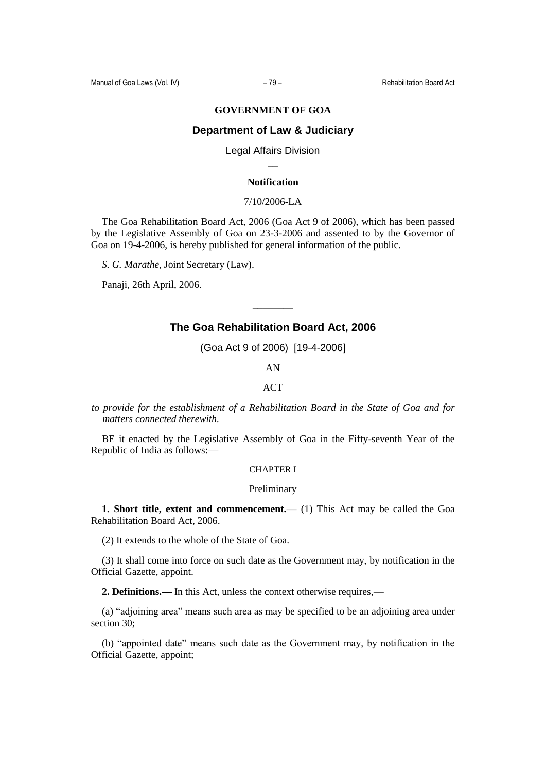# **GOVERNMENT OF GOA**

# **Department of Law & Judiciary**

# Legal Affairs Division

 $\overline{\phantom{a}}$ 

# **Notification**

## 7/10/2006-LA

The Goa Rehabilitation Board Act, 2006 (Goa Act 9 of 2006), which has been passed by the Legislative Assembly of Goa on 23-3-2006 and assented to by the Governor of Goa on 19-4-2006, is hereby published for general information of the public.

*S. G. Marathe,* Joint Secretary (Law).

Panaji, 26th April, 2006.

# **The Goa Rehabilitation Board Act, 2006**

 $\overline{\phantom{a}}$ 

(Goa Act 9 of 2006) [19-4-2006]

#### AN

#### ACT

*to provide for the establishment of a Rehabilitation Board in the State of Goa and for matters connected therewith.*

BE it enacted by the Legislative Assembly of Goa in the Fifty-seventh Year of the Republic of India as follows:—

# CHAPTER I

## Preliminary

**1. Short title, extent and commencement.—** (1) This Act may be called the Goa Rehabilitation Board Act, 2006.

(2) It extends to the whole of the State of Goa.

(3) It shall come into force on such date as the Government may, by notification in the Official Gazette, appoint.

**2. Definitions.—** In this Act, unless the context otherwise requires,—

(a) "adjoining area" means such area as may be specified to be an adjoining area under section 30;

(b) "appointed date" means such date as the Government may, by notification in the Official Gazette, appoint;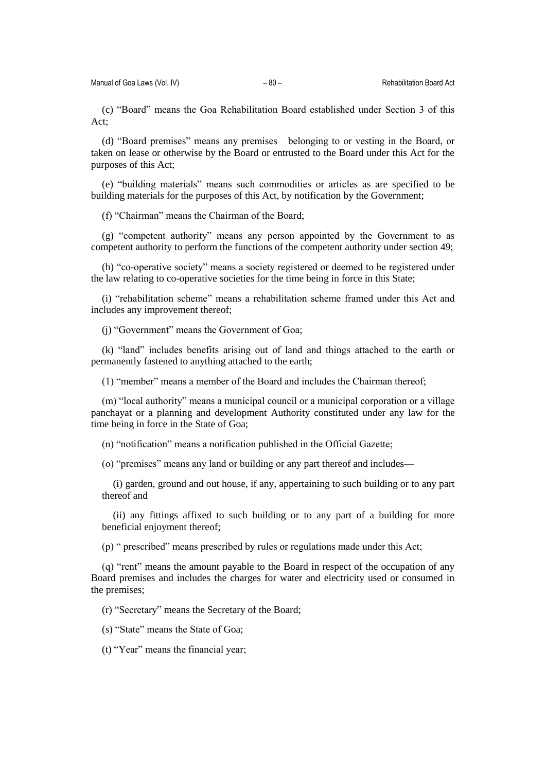(c) "Board" means the Goa Rehabilitation Board established under Section 3 of this Act;

(d) "Board premises" means any premises belonging to or vesting in the Board, or taken on lease or otherwise by the Board or entrusted to the Board under this Act for the purposes of this Act;

(e) "building materials" means such commodities or articles as are specified to be building materials for the purposes of this Act, by notification by the Government;

(f) "Chairman" means the Chairman of the Board;

(g) "competent authority" means any person appointed by the Government to as competent authority to perform the functions of the competent authority under section 49;

(h) "co-operative society" means a society registered or deemed to be registered under the law relating to co-operative societies for the time being in force in this State;

(i) "rehabilitation scheme" means a rehabilitation scheme framed under this Act and includes any improvement thereof;

(j) "Government" means the Government of Goa;

(k) "land" includes benefits arising out of land and things attached to the earth or permanently fastened to anything attached to the earth;

(1) "member" means a member of the Board and includes the Chairman thereof;

(m) "local authority" means a municipal council or a municipal corporation or a village panchayat or a planning and development Authority constituted under any law for the time being in force in the State of Goa;

(n) "notification" means a notification published in the Official Gazette;

(o) "premises" means any land or building or any part thereof and includes—

(i) garden, ground and out house, if any, appertaining to such building or to any part thereof and

(ii) any fittings affixed to such building or to any part of a building for more beneficial enjoyment thereof;

(p) " prescribed" means prescribed by rules or regulations made under this Act;

(q) "rent" means the amount payable to the Board in respect of the occupation of any Board premises and includes the charges for water and electricity used or consumed in the premises;

(r) "Secretary" means the Secretary of the Board;

(s) "State" means the State of Goa;

(t) "Year" means the financial year;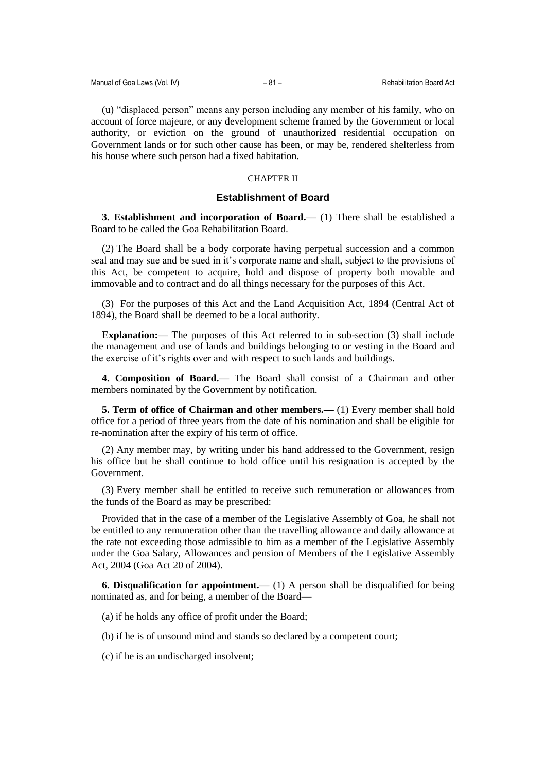(u) "displaced person" means any person including any member of his family, who on account of force majeure, or any development scheme framed by the Government or local authority, or eviction on the ground of unauthorized residential occupation on Government lands or for such other cause has been, or may be, rendered shelterless from his house where such person had a fixed habitation.

#### CHAPTER II

# **Establishment of Board**

**3. Establishment and incorporation of Board.—** (1) There shall be established a Board to be called the Goa Rehabilitation Board.

(2) The Board shall be a body corporate having perpetual succession and a common seal and may sue and be sued in it's corporate name and shall, subject to the provisions of this Act, be competent to acquire, hold and dispose of property both movable and immovable and to contract and do all things necessary for the purposes of this Act.

(3) For the purposes of this Act and the Land Acquisition Act, 1894 (Central Act of 1894), the Board shall be deemed to be a local authority.

**Explanation:**— The purposes of this Act referred to in sub-section (3) shall include the management and use of lands and buildings belonging to or vesting in the Board and the exercise of it"s rights over and with respect to such lands and buildings.

**4. Composition of Board.—** The Board shall consist of a Chairman and other members nominated by the Government by notification.

**5. Term of office of Chairman and other members.—** (1) Every member shall hold office for a period of three years from the date of his nomination and shall be eligible for re-nomination after the expiry of his term of office.

(2) Any member may, by writing under his hand addressed to the Government, resign his office but he shall continue to hold office until his resignation is accepted by the Government.

(3) Every member shall be entitled to receive such remuneration or allowances from the funds of the Board as may be prescribed:

Provided that in the case of a member of the Legislative Assembly of Goa, he shall not be entitled to any remuneration other than the travelling allowance and daily allowance at the rate not exceeding those admissible to him as a member of the Legislative Assembly under the Goa Salary, Allowances and pension of Members of the Legislative Assembly Act, 2004 (Goa Act 20 of 2004).

**6. Disqualification for appointment.—** (1) A person shall be disqualified for being nominated as, and for being, a member of the Board—

(a) if he holds any office of profit under the Board;

- (b) if he is of unsound mind and stands so declared by a competent court;
- (c) if he is an undischarged insolvent;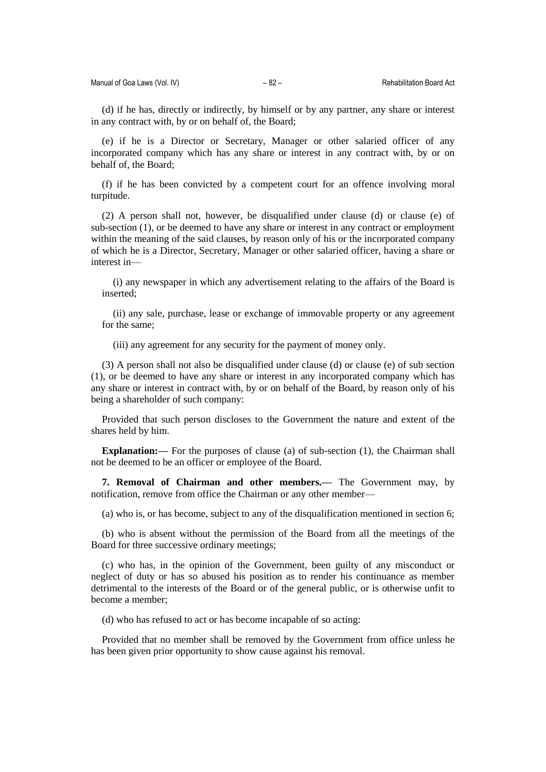(d) if he has, directly or indirectly, by himself or by any partner, any share or interest in any contract with, by or on behalf of, the Board;

(e) if he is a Director or Secretary, Manager or other salaried officer of any incorporated company which has any share or interest in any contract with, by or on behalf of, the Board;

(f) if he has been convicted by a competent court for an offence involving moral turpitude.

(2) A person shall not, however, be disqualified under clause (d) or clause (e) of sub-section (1), or be deemed to have any share or interest in any contract or employment within the meaning of the said clauses, by reason only of his or the incorporated company of which he is a Director, Secretary, Manager or other salaried officer, having a share or interest in—

(i) any newspaper in which any advertisement relating to the affairs of the Board is inserted;

(ii) any sale, purchase, lease or exchange of immovable property or any agreement for the same;

(iii) any agreement for any security for the payment of money only.

(3) A person shall not also be disqualified under clause (d) or clause (e) of sub section (1), or be deemed to have any share or interest in any incorporated company which has any share or interest in contract with, by or on behalf of the Board, by reason only of his being a shareholder of such company:

Provided that such person discloses to the Government the nature and extent of the shares held by him.

**Explanation:**— For the purposes of clause (a) of sub-section (1), the Chairman shall not be deemed to be an officer or employee of the Board.

**7. Removal of Chairman and other members.—** The Government may, by notification, remove from office the Chairman or any other member—

(a) who is, or has become, subject to any of the disqualification mentioned in section 6;

(b) who is absent without the permission of the Board from all the meetings of the Board for three successive ordinary meetings;

(c) who has, in the opinion of the Government, been guilty of any misconduct or neglect of duty or has so abused his position as to render his continuance as member detrimental to the interests of the Board or of the general public, or is otherwise unfit to become a member;

(d) who has refused to act or has become incapable of so acting:

Provided that no member shall be removed by the Government from office unless he has been given prior opportunity to show cause against his removal.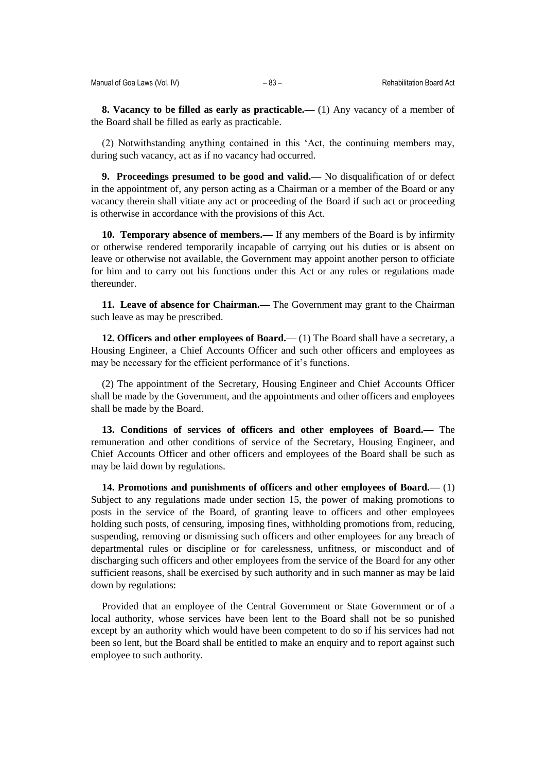**8. Vacancy to be filled as early as practicable.—** (1) Any vacancy of a member of the Board shall be filled as early as practicable.

(2) Notwithstanding anything contained in this "Act, the continuing members may, during such vacancy, act as if no vacancy had occurred.

**9. Proceedings presumed to be good and valid.—** No disqualification of or defect in the appointment of, any person acting as a Chairman or a member of the Board or any vacancy therein shall vitiate any act or proceeding of the Board if such act or proceeding is otherwise in accordance with the provisions of this Act.

**10. Temporary absence of members.—** If any members of the Board is by infirmity or otherwise rendered temporarily incapable of carrying out his duties or is absent on leave or otherwise not available, the Government may appoint another person to officiate for him and to carry out his functions under this Act or any rules or regulations made thereunder.

**11. Leave of absence for Chairman.—** The Government may grant to the Chairman such leave as may be prescribed.

**12. Officers and other employees of Board.—** (1) The Board shall have a secretary, a Housing Engineer, a Chief Accounts Officer and such other officers and employees as may be necessary for the efficient performance of it's functions.

(2) The appointment of the Secretary, Housing Engineer and Chief Accounts Officer shall be made by the Government, and the appointments and other officers and employees shall be made by the Board.

**13. Conditions of services of officers and other employees of Board.—** The remuneration and other conditions of service of the Secretary, Housing Engineer, and Chief Accounts Officer and other officers and employees of the Board shall be such as may be laid down by regulations.

**14. Promotions and punishments of officers and other employees of Board.—** (1) Subject to any regulations made under section 15, the power of making promotions to posts in the service of the Board, of granting leave to officers and other employees holding such posts, of censuring, imposing fines, withholding promotions from, reducing, suspending, removing or dismissing such officers and other employees for any breach of departmental rules or discipline or for carelessness, unfitness, or misconduct and of discharging such officers and other employees from the service of the Board for any other sufficient reasons, shall be exercised by such authority and in such manner as may be laid down by regulations:

Provided that an employee of the Central Government or State Government or of a local authority, whose services have been lent to the Board shall not be so punished except by an authority which would have been competent to do so if his services had not been so lent, but the Board shall be entitled to make an enquiry and to report against such employee to such authority.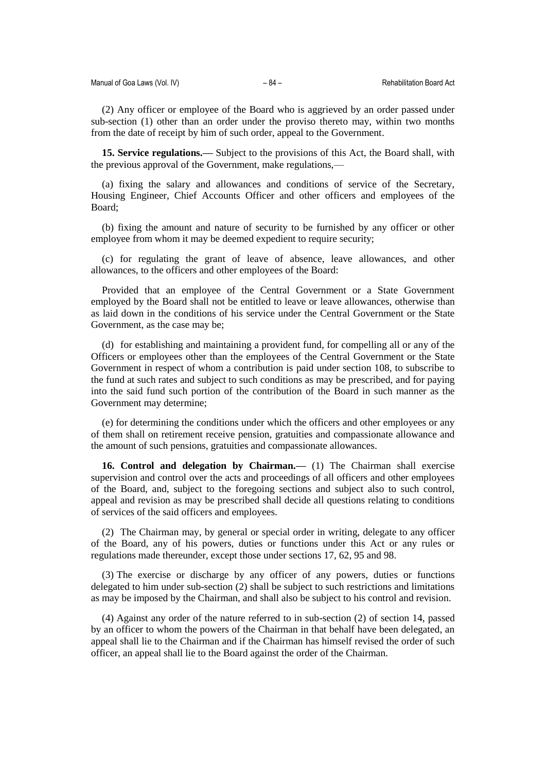(2) Any officer or employee of the Board who is aggrieved by an order passed under sub-section (1) other than an order under the proviso thereto may, within two months from the date of receipt by him of such order, appeal to the Government.

**15. Service regulations.—** Subject to the provisions of this Act, the Board shall, with the previous approval of the Government, make regulations,—

(a) fixing the salary and allowances and conditions of service of the Secretary, Housing Engineer, Chief Accounts Officer and other officers and employees of the Board;

(b) fixing the amount and nature of security to be furnished by any officer or other employee from whom it may be deemed expedient to require security;

(c) for regulating the grant of leave of absence, leave allowances, and other allowances, to the officers and other employees of the Board:

Provided that an employee of the Central Government or a State Government employed by the Board shall not be entitled to leave or leave allowances, otherwise than as laid down in the conditions of his service under the Central Government or the State Government, as the case may be;

(d) for establishing and maintaining a provident fund, for compelling all or any of the Officers or employees other than the employees of the Central Government or the State Government in respect of whom a contribution is paid under section 108, to subscribe to the fund at such rates and subject to such conditions as may be prescribed, and for paying into the said fund such portion of the contribution of the Board in such manner as the Government may determine;

(e) for determining the conditions under which the officers and other employees or any of them shall on retirement receive pension, gratuities and compassionate allowance and the amount of such pensions, gratuities and compassionate allowances.

**16. Control and delegation by Chairman.—** (1) The Chairman shall exercise supervision and control over the acts and proceedings of all officers and other employees of the Board, and, subject to the foregoing sections and subject also to such control, appeal and revision as may be prescribed shall decide all questions relating to conditions of services of the said officers and employees.

(2) The Chairman may, by general or special order in writing, delegate to any officer of the Board, any of his powers, duties or functions under this Act or any rules or regulations made thereunder, except those under sections 17, 62, 95 and 98.

(3) The exercise or discharge by any officer of any powers, duties or functions delegated to him under sub-section (2) shall be subject to such restrictions and limitations as may be imposed by the Chairman, and shall also be subject to his control and revision.

(4) Against any order of the nature referred to in sub-section (2) of section 14, passed by an officer to whom the powers of the Chairman in that behalf have been delegated, an appeal shall lie to the Chairman and if the Chairman has himself revised the order of such officer, an appeal shall lie to the Board against the order of the Chairman.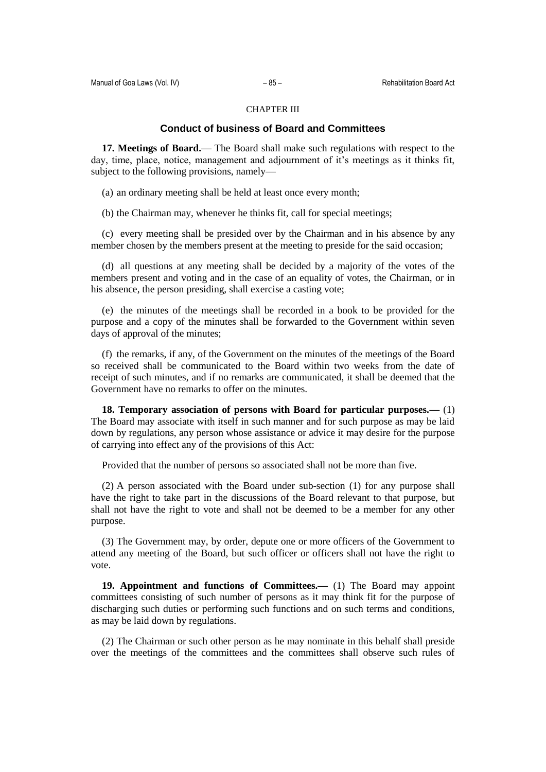#### CHAPTER III

#### **Conduct of business of Board and Committees**

**17. Meetings of Board.—** The Board shall make such regulations with respect to the day, time, place, notice, management and adjournment of it's meetings as it thinks fit, subject to the following provisions, namely—

(a) an ordinary meeting shall be held at least once every month;

(b) the Chairman may, whenever he thinks fit, call for special meetings;

(c) every meeting shall be presided over by the Chairman and in his absence by any member chosen by the members present at the meeting to preside for the said occasion;

(d) all questions at any meeting shall be decided by a majority of the votes of the members present and voting and in the case of an equality of votes, the Chairman, or in his absence, the person presiding, shall exercise a casting vote;

(e) the minutes of the meetings shall be recorded in a book to be provided for the purpose and a copy of the minutes shall be forwarded to the Government within seven days of approval of the minutes;

(f) the remarks, if any, of the Government on the minutes of the meetings of the Board so received shall be communicated to the Board within two weeks from the date of receipt of such minutes, and if no remarks are communicated, it shall be deemed that the Government have no remarks to offer on the minutes.

**18. Temporary association of persons with Board for particular purposes.—** (1) The Board may associate with itself in such manner and for such purpose as may be laid down by regulations, any person whose assistance or advice it may desire for the purpose of carrying into effect any of the provisions of this Act:

Provided that the number of persons so associated shall not be more than five.

(2) A person associated with the Board under sub-section (1) for any purpose shall have the right to take part in the discussions of the Board relevant to that purpose, but shall not have the right to vote and shall not be deemed to be a member for any other purpose.

(3) The Government may, by order, depute one or more officers of the Government to attend any meeting of the Board, but such officer or officers shall not have the right to vote.

**19. Appointment and functions of Committees.—** (1) The Board may appoint committees consisting of such number of persons as it may think fit for the purpose of discharging such duties or performing such functions and on such terms and conditions, as may be laid down by regulations.

(2) The Chairman or such other person as he may nominate in this behalf shall preside over the meetings of the committees and the committees shall observe such rules of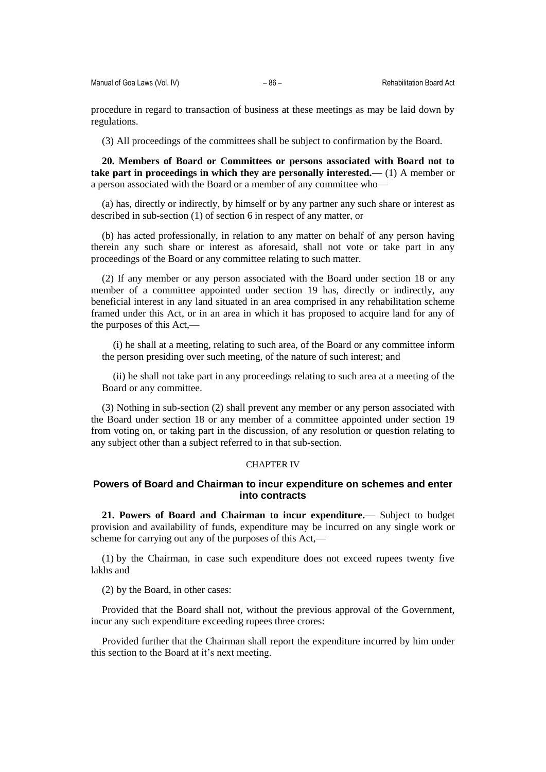procedure in regard to transaction of business at these meetings as may be laid down by regulations.

(3) All proceedings of the committees shall be subject to confirmation by the Board.

**20. Members of Board or Committees or persons associated with Board not to take part in proceedings in which they are personally interested.—** (1) A member or a person associated with the Board or a member of any committee who—

(a) has, directly or indirectly, by himself or by any partner any such share or interest as described in sub-section (1) of section 6 in respect of any matter, or

(b) has acted professionally, in relation to any matter on behalf of any person having therein any such share or interest as aforesaid, shall not vote or take part in any proceedings of the Board or any committee relating to such matter.

(2) If any member or any person associated with the Board under section 18 or any member of a committee appointed under section 19 has, directly or indirectly, any beneficial interest in any land situated in an area comprised in any rehabilitation scheme framed under this Act, or in an area in which it has proposed to acquire land for any of the purposes of this Act,—

(i) he shall at a meeting, relating to such area, of the Board or any committee inform the person presiding over such meeting, of the nature of such interest; and

(ii) he shall not take part in any proceedings relating to such area at a meeting of the Board or any committee.

(3) Nothing in sub-section (2) shall prevent any member or any person associated with the Board under section 18 or any member of a committee appointed under section 19 from voting on, or taking part in the discussion, of any resolution or question relating to any subject other than a subject referred to in that sub-section.

# CHAPTER IV

# **Powers of Board and Chairman to incur expenditure on schemes and enter into contracts**

**21. Powers of Board and Chairman to incur expenditure.—** Subject to budget provision and availability of funds, expenditure may be incurred on any single work or scheme for carrying out any of the purposes of this Act,—

(1) by the Chairman, in case such expenditure does not exceed rupees twenty five lakhs and

(2) by the Board, in other cases:

Provided that the Board shall not, without the previous approval of the Government, incur any such expenditure exceeding rupees three crores:

Provided further that the Chairman shall report the expenditure incurred by him under this section to the Board at it's next meeting.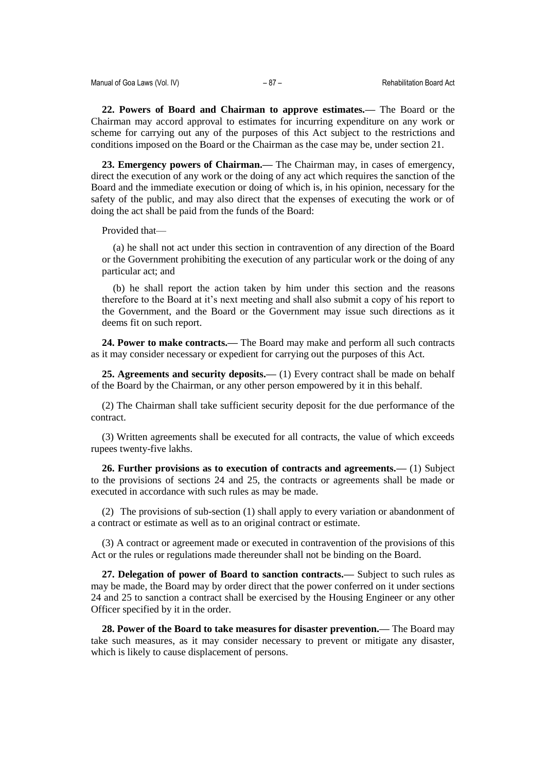**22. Powers of Board and Chairman to approve estimates.—** The Board or the Chairman may accord approval to estimates for incurring expenditure on any work or scheme for carrying out any of the purposes of this Act subject to the restrictions and conditions imposed on the Board or the Chairman as the case may be, under section 21.

**23. Emergency powers of Chairman.—** The Chairman may, in cases of emergency, direct the execution of any work or the doing of any act which requires the sanction of the Board and the immediate execution or doing of which is, in his opinion, necessary for the safety of the public, and may also direct that the expenses of executing the work or of doing the act shall be paid from the funds of the Board:

Provided that—

(a) he shall not act under this section in contravention of any direction of the Board or the Government prohibiting the execution of any particular work or the doing of any particular act; and

(b) he shall report the action taken by him under this section and the reasons therefore to the Board at it's next meeting and shall also submit a copy of his report to the Government, and the Board or the Government may issue such directions as it deems fit on such report.

**24. Power to make contracts.—** The Board may make and perform all such contracts as it may consider necessary or expedient for carrying out the purposes of this Act.

**25. Agreements and security deposits.—** (1) Every contract shall be made on behalf of the Board by the Chairman, or any other person empowered by it in this behalf.

(2) The Chairman shall take sufficient security deposit for the due performance of the contract.

(3) Written agreements shall be executed for all contracts, the value of which exceeds rupees twenty-five lakhs.

**26. Further provisions as to execution of contracts and agreements.—** (1) Subject to the provisions of sections 24 and 25, the contracts or agreements shall be made or executed in accordance with such rules as may be made.

(2) The provisions of sub-section (1) shall apply to every variation or abandonment of a contract or estimate as well as to an original contract or estimate.

(3) A contract or agreement made or executed in contravention of the provisions of this Act or the rules or regulations made thereunder shall not be binding on the Board.

**27. Delegation of power of Board to sanction contracts.—** Subject to such rules as may be made, the Board may by order direct that the power conferred on it under sections 24 and 25 to sanction a contract shall be exercised by the Housing Engineer or any other Officer specified by it in the order.

**28. Power of the Board to take measures for disaster prevention.—** The Board may take such measures, as it may consider necessary to prevent or mitigate any disaster, which is likely to cause displacement of persons.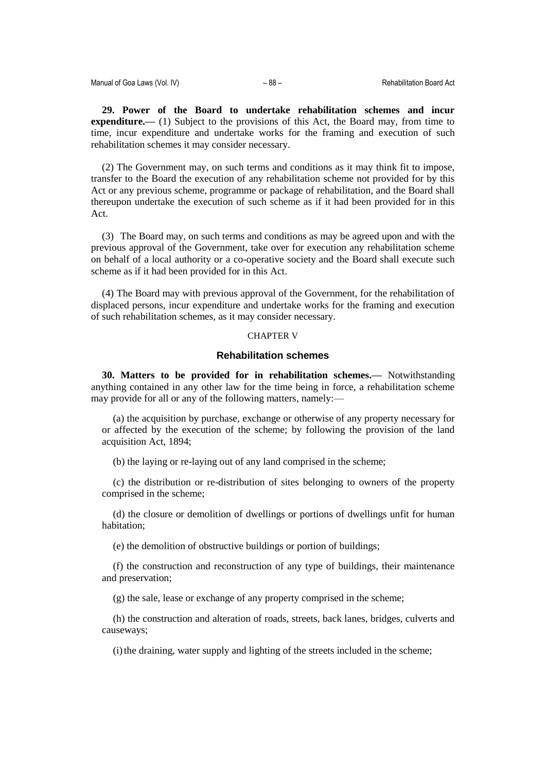**29. Power of the Board to undertake rehabilitation schemes and incur expenditure.**—— (1) Subject to the provisions of this Act, the Board may, from time to time, incur expenditure and undertake works for the framing and execution of such rehabilitation schemes it may consider necessary.

(2) The Government may, on such terms and conditions as it may think fit to impose, transfer to the Board the execution of any rehabilitation scheme not provided for by this Act or any previous scheme, programme or package of rehabilitation, and the Board shall thereupon undertake the execution of such scheme as if it had been provided for in this Act.

(3) The Board may, on such terms and conditions as may be agreed upon and with the previous approval of the Government, take over for execution any rehabilitation scheme on behalf of a local authority or a co-operative society and the Board shall execute such scheme as if it had been provided for in this Act.

(4) The Board may with previous approval of the Government, for the rehabilitation of displaced persons, incur expenditure and undertake works for the framing and execution of such rehabilitation schemes, as it may consider necessary.

#### CHAPTER V

#### **Rehabilitation schemes**

**30. Matters to be provided for in rehabilitation schemes.—** Notwithstanding anything contained in any other law for the time being in force, a rehabilitation scheme may provide for all or any of the following matters, namely:—

(a) the acquisition by purchase, exchange or otherwise of any property necessary for or affected by the execution of the scheme; by following the provision of the land acquisition Act, 1894;

(b) the laying or re-laying out of any land comprised in the scheme;

(c) the distribution or re-distribution of sites belonging to owners of the property comprised in the scheme;

(d) the closure or demolition of dwellings or portions of dwellings unfit for human habitation;

(e) the demolition of obstructive buildings or portion of buildings;

(f) the construction and reconstruction of any type of buildings, their maintenance and preservation;

(g) the sale, lease or exchange of any property comprised in the scheme;

(h) the construction and alteration of roads, streets, back lanes, bridges, culverts and causeways;

 $(i)$  the draining, water supply and lighting of the streets included in the scheme;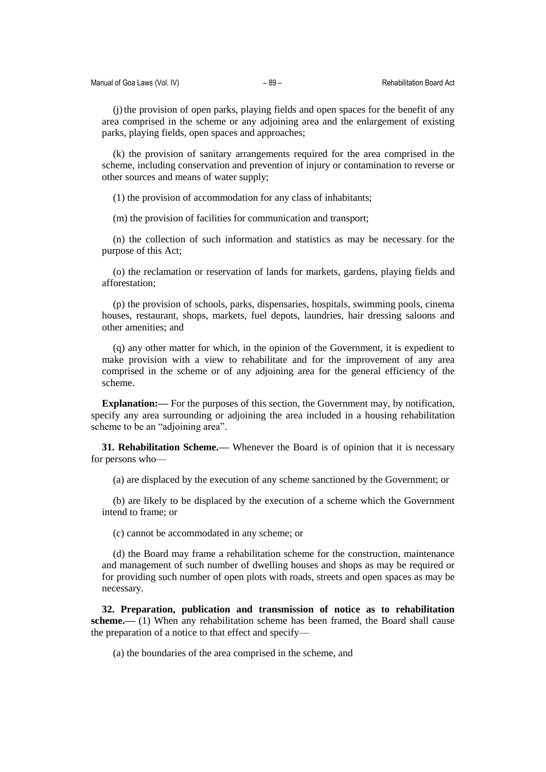(j)the provision of open parks, playing fields and open spaces for the benefit of any area comprised in the scheme or any adjoining area and the enlargement of existing parks, playing fields, open spaces and approaches;

(k) the provision of sanitary arrangements required for the area comprised in the scheme, including conservation and prevention of injury or contamination to reverse or other sources and means of water supply;

(1) the provision of accommodation for any class of inhabitants;

(m) the provision of facilities for communication and transport;

(n) the collection of such information and statistics as may be necessary for the purpose of this Act;

(o) the reclamation or reservation of lands for markets, gardens, playing fields and afforestation;

(p) the provision of schools, parks, dispensaries, hospitals, swimming pools, cinema houses, restaurant, shops, markets, fuel depots, laundries, hair dressing saloons and other amenities; and

(q) any other matter for which, in the opinion of the Government, it is expedient to make provision with a view to rehabilitate and for the improvement of any area comprised in the scheme or of any adjoining area for the general efficiency of the scheme.

**Explanation:**—— For the purposes of this section, the Government may, by notification, specify any area surrounding or adjoining the area included in a housing rehabilitation scheme to be an "adjoining area".

**31. Rehabilitation Scheme.—** Whenever the Board is of opinion that it is necessary for persons who—

(a) are displaced by the execution of any scheme sanctioned by the Government; or

(b) are likely to be displaced by the execution of a scheme which the Government intend to frame; or

(c) cannot be accommodated in any scheme; or

(d) the Board may frame a rehabilitation scheme for the construction, maintenance and management of such number of dwelling houses and shops as may be required or for providing such number of open plots with roads, streets and open spaces as may be necessary.

**32. Preparation, publication and transmission of notice as to rehabilitation scheme.—** (1) When any rehabilitation scheme has been framed, the Board shall cause the preparation of a notice to that effect and specify—

(a) the boundaries of the area comprised in the scheme, and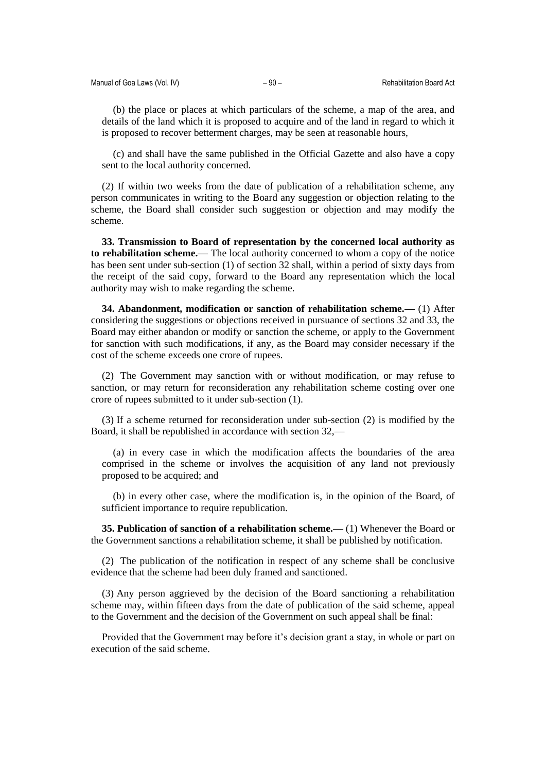(b) the place or places at which particulars of the scheme, a map of the area, and details of the land which it is proposed to acquire and of the land in regard to which it is proposed to recover betterment charges, may be seen at reasonable hours,

(c) and shall have the same published in the Official Gazette and also have a copy sent to the local authority concerned.

(2) If within two weeks from the date of publication of a rehabilitation scheme, any person communicates in writing to the Board any suggestion or objection relating to the scheme, the Board shall consider such suggestion or objection and may modify the scheme.

**33. Transmission to Board of representation by the concerned local authority as to rehabilitation scheme.—** The local authority concerned to whom a copy of the notice has been sent under sub-section (1) of section 32 shall, within a period of sixty days from the receipt of the said copy, forward to the Board any representation which the local authority may wish to make regarding the scheme.

**34. Abandonment, modification or sanction of rehabilitation scheme.—** (1) After considering the suggestions or objections received in pursuance of sections 32 and 33, the Board may either abandon or modify or sanction the scheme, or apply to the Government for sanction with such modifications, if any, as the Board may consider necessary if the cost of the scheme exceeds one crore of rupees.

(2) The Government may sanction with or without modification, or may refuse to sanction, or may return for reconsideration any rehabilitation scheme costing over one crore of rupees submitted to it under sub-section (1).

(3) If a scheme returned for reconsideration under sub-section (2) is modified by the Board, it shall be republished in accordance with section 32,—

(a) in every case in which the modification affects the boundaries of the area comprised in the scheme or involves the acquisition of any land not previously proposed to be acquired; and

(b) in every other case, where the modification is, in the opinion of the Board, of sufficient importance to require republication.

**35. Publication of sanction of a rehabilitation scheme.—** (1) Whenever the Board or the Government sanctions a rehabilitation scheme, it shall be published by notification.

(2) The publication of the notification in respect of any scheme shall be conclusive evidence that the scheme had been duly framed and sanctioned.

(3) Any person aggrieved by the decision of the Board sanctioning a rehabilitation scheme may, within fifteen days from the date of publication of the said scheme, appeal to the Government and the decision of the Government on such appeal shall be final:

Provided that the Government may before it"s decision grant a stay, in whole or part on execution of the said scheme.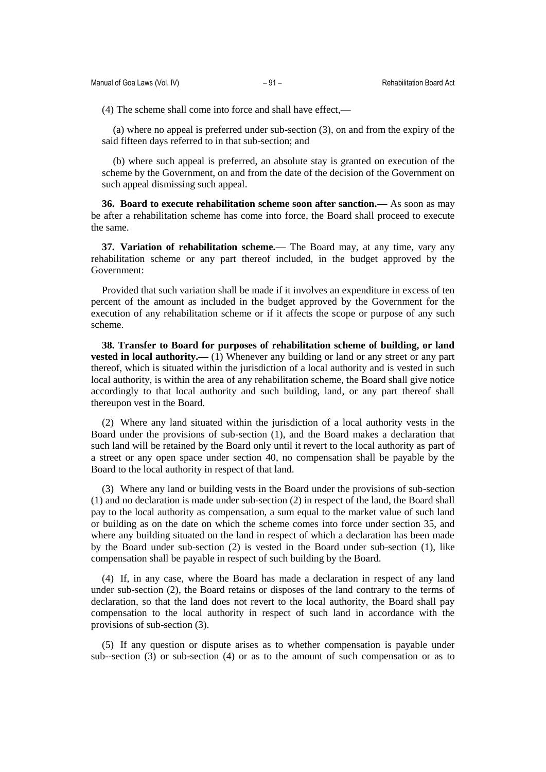(4) The scheme shall come into force and shall have effect,—

(a) where no appeal is preferred under sub-section (3), on and from the expiry of the said fifteen days referred to in that sub-section; and

(b) where such appeal is preferred, an absolute stay is granted on execution of the scheme by the Government, on and from the date of the decision of the Government on such appeal dismissing such appeal.

**36. Board to execute rehabilitation scheme soon after sanction.—** As soon as may be after a rehabilitation scheme has come into force, the Board shall proceed to execute the same.

**37. Variation of rehabilitation scheme.—** The Board may, at any time, vary any rehabilitation scheme or any part thereof included, in the budget approved by the Government:

Provided that such variation shall be made if it involves an expenditure in excess of ten percent of the amount as included in the budget approved by the Government for the execution of any rehabilitation scheme or if it affects the scope or purpose of any such scheme.

**38. Transfer to Board for purposes of rehabilitation scheme of building, or land vested in local authority.—** (1) Whenever any building or land or any street or any part thereof, which is situated within the jurisdiction of a local authority and is vested in such local authority, is within the area of any rehabilitation scheme, the Board shall give notice accordingly to that local authority and such building, land, or any part thereof shall thereupon vest in the Board.

(2) Where any land situated within the jurisdiction of a local authority vests in the Board under the provisions of sub-section (1), and the Board makes a declaration that such land will be retained by the Board only until it revert to the local authority as part of a street or any open space under section 40, no compensation shall be payable by the Board to the local authority in respect of that land.

(3) Where any land or building vests in the Board under the provisions of sub-section (1) and no declaration is made under sub-section (2) in respect of the land, the Board shall pay to the local authority as compensation, a sum equal to the market value of such land or building as on the date on which the scheme comes into force under section 35, and where any building situated on the land in respect of which a declaration has been made by the Board under sub-section (2) is vested in the Board under sub-section (1), like compensation shall be payable in respect of such building by the Board.

(4) If, in any case, where the Board has made a declaration in respect of any land under sub-section (2), the Board retains or disposes of the land contrary to the terms of declaration, so that the land does not revert to the local authority, the Board shall pay compensation to the local authority in respect of such land in accordance with the provisions of sub-section (3).

(5) If any question or dispute arises as to whether compensation is payable under sub--section (3) or sub-section (4) or as to the amount of such compensation or as to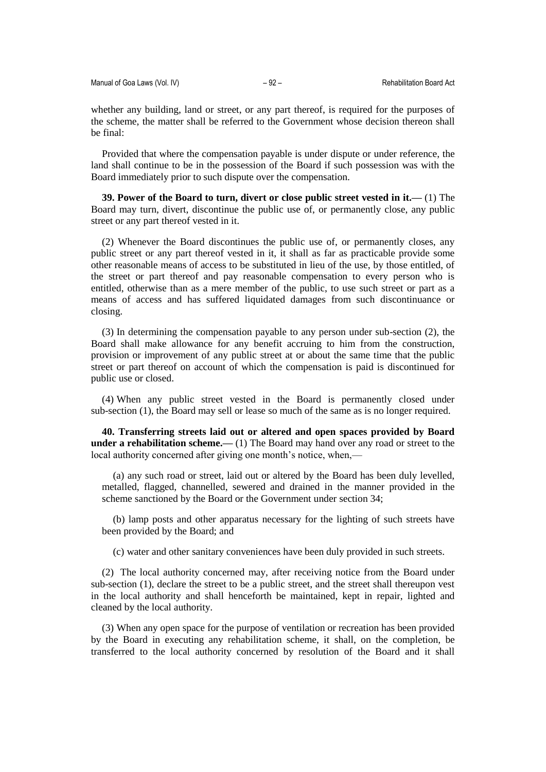whether any building, land or street, or any part thereof, is required for the purposes of the scheme, the matter shall be referred to the Government whose decision thereon shall be final:

Provided that where the compensation payable is under dispute or under reference, the land shall continue to be in the possession of the Board if such possession was with the Board immediately prior to such dispute over the compensation.

**39. Power of the Board to turn, divert or close public street vested in it.—** (1) The Board may turn, divert, discontinue the public use of, or permanently close, any public street or any part thereof vested in it.

(2) Whenever the Board discontinues the public use of, or permanently closes, any public street or any part thereof vested in it, it shall as far as practicable provide some other reasonable means of access to be substituted in lieu of the use, by those entitled, of the street or part thereof and pay reasonable compensation to every person who is entitled, otherwise than as a mere member of the public, to use such street or part as a means of access and has suffered liquidated damages from such discontinuance or closing.

(3) In determining the compensation payable to any person under sub-section (2), the Board shall make allowance for any benefit accruing to him from the construction, provision or improvement of any public street at or about the same time that the public street or part thereof on account of which the compensation is paid is discontinued for public use or closed.

(4) When any public street vested in the Board is permanently closed under sub-section (1), the Board may sell or lease so much of the same as is no longer required.

**40. Transferring streets laid out or altered and open spaces provided by Board under a rehabilitation scheme.**—(1) The Board may hand over any road or street to the local authority concerned after giving one month's notice, when,—

(a) any such road or street, laid out or altered by the Board has been duly levelled, metalled, flagged, channelled, sewered and drained in the manner provided in the scheme sanctioned by the Board or the Government under section 34;

(b) lamp posts and other apparatus necessary for the lighting of such streets have been provided by the Board; and

(c) water and other sanitary conveniences have been duly provided in such streets.

(2) The local authority concerned may, after receiving notice from the Board under sub-section (1), declare the street to be a public street, and the street shall thereupon vest in the local authority and shall henceforth be maintained, kept in repair, lighted and cleaned by the local authority.

(3) When any open space for the purpose of ventilation or recreation has been provided by the Board in executing any rehabilitation scheme, it shall, on the completion, be transferred to the local authority concerned by resolution of the Board and it shall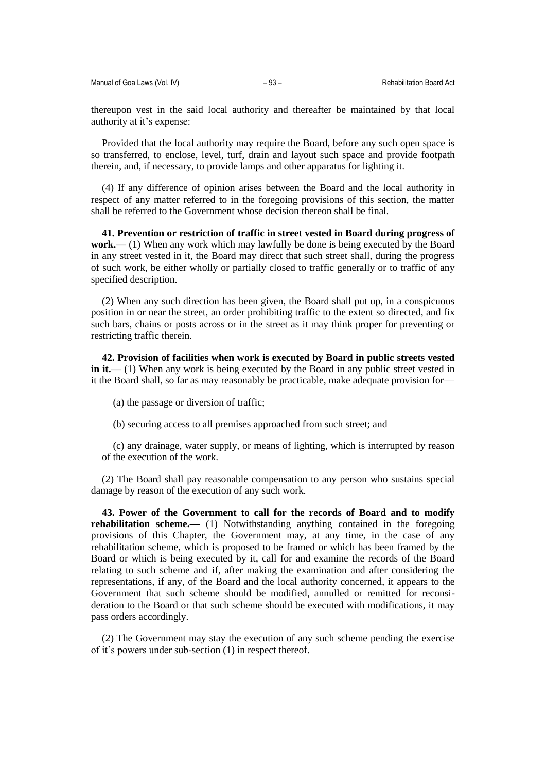thereupon vest in the said local authority and thereafter be maintained by that local authority at it's expense:

Provided that the local authority may require the Board, before any such open space is so transferred, to enclose, level, turf, drain and layout such space and provide footpath therein, and, if necessary, to provide lamps and other apparatus for lighting it.

(4) If any difference of opinion arises between the Board and the local authority in respect of any matter referred to in the foregoing provisions of this section, the matter shall be referred to the Government whose decision thereon shall be final.

**41. Prevention or restriction of traffic in street vested in Board during progress of work.—** (1) When any work which may lawfully be done is being executed by the Board in any street vested in it, the Board may direct that such street shall, during the progress of such work, be either wholly or partially closed to traffic generally or to traffic of any specified description.

(2) When any such direction has been given, the Board shall put up, in a conspicuous position in or near the street, an order prohibiting traffic to the extent so directed, and fix such bars, chains or posts across or in the street as it may think proper for preventing or restricting traffic therein.

**42. Provision of facilities when work is executed by Board in public streets vested in it.**—(1) When any work is being executed by the Board in any public street vested in it the Board shall, so far as may reasonably be practicable, make adequate provision for—

(a) the passage or diversion of traffic;

(b) securing access to all premises approached from such street; and

(c) any drainage, water supply, or means of lighting, which is interrupted by reason of the execution of the work.

(2) The Board shall pay reasonable compensation to any person who sustains special damage by reason of the execution of any such work.

**43. Power of the Government to call for the records of Board and to modify rehabilitation scheme.—** (1) Notwithstanding anything contained in the foregoing provisions of this Chapter, the Government may, at any time, in the case of any rehabilitation scheme, which is proposed to be framed or which has been framed by the Board or which is being executed by it, call for and examine the records of the Board relating to such scheme and if, after making the examination and after considering the representations, if any, of the Board and the local authority concerned, it appears to the Government that such scheme should be modified, annulled or remitted for reconsideration to the Board or that such scheme should be executed with modifications, it may pass orders accordingly.

(2) The Government may stay the execution of any such scheme pending the exercise of it"s powers under sub-section (1) in respect thereof.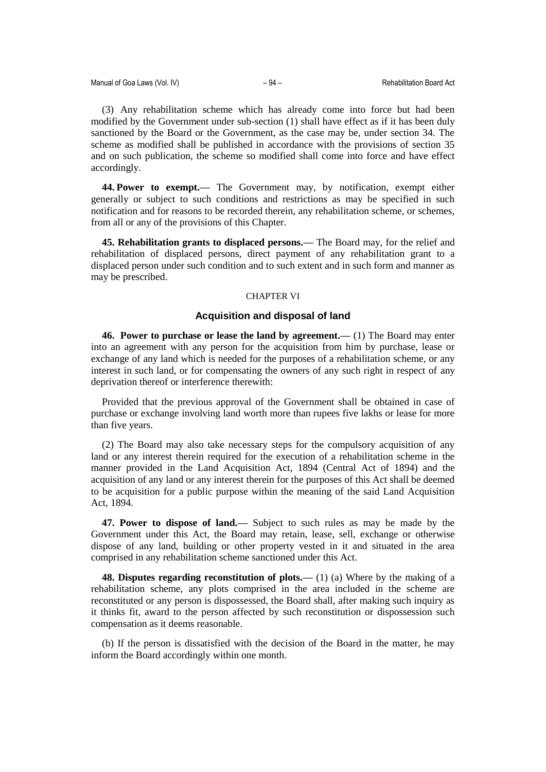(3) Any rehabilitation scheme which has already come into force but had been modified by the Government under sub-section (1) shall have effect as if it has been duly sanctioned by the Board or the Government, as the case may be, under section 34. The scheme as modified shall be published in accordance with the provisions of section 35 and on such publication, the scheme so modified shall come into force and have effect accordingly.

**44. Power to exempt.—** The Government may, by notification, exempt either generally or subject to such conditions and restrictions as may be specified in such notification and for reasons to be recorded therein, any rehabilitation scheme, or schemes, from all or any of the provisions of this Chapter.

**45. Rehabilitation grants to displaced persons.—** The Board may, for the relief and rehabilitation of displaced persons, direct payment of any rehabilitation grant to a displaced person under such condition and to such extent and in such form and manner as may be prescribed.

#### CHAPTER VI

# **Acquisition and disposal of land**

**46. Power to purchase or lease the land by agreement.—** (1) The Board may enter into an agreement with any person for the acquisition from him by purchase, lease or exchange of any land which is needed for the purposes of a rehabilitation scheme, or any interest in such land, or for compensating the owners of any such right in respect of any deprivation thereof or interference therewith:

Provided that the previous approval of the Government shall be obtained in case of purchase or exchange involving land worth more than rupees five lakhs or lease for more than five years.

(2) The Board may also take necessary steps for the compulsory acquisition of any land or any interest therein required for the execution of a rehabilitation scheme in the manner provided in the Land Acquisition Act, 1894 (Central Act of 1894) and the acquisition of any land or any interest therein for the purposes of this Act shall be deemed to be acquisition for a public purpose within the meaning of the said Land Acquisition Act, 1894.

**47. Power to dispose of land.—** Subject to such rules as may be made by the Government under this Act, the Board may retain, lease, sell, exchange or otherwise dispose of any land, building or other property vested in it and situated in the area comprised in any rehabilitation scheme sanctioned under this Act.

**48. Disputes regarding reconstitution of plots.—** (1) (a) Where by the making of a rehabilitation scheme, any plots comprised in the area included in the scheme are reconstituted or any person is dispossessed, the Board shall, after making such inquiry as it thinks fit, award to the person affected by such reconstitution or dispossession such compensation as it deems reasonable.

(b) If the person is dissatisfied with the decision of the Board in the matter, he may inform the Board accordingly within one month.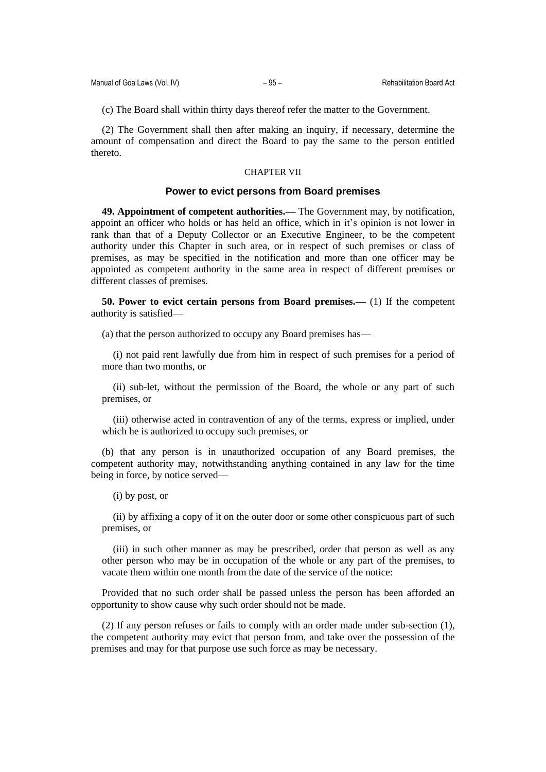(c) The Board shall within thirty days thereof refer the matter to the Government.

(2) The Government shall then after making an inquiry, if necessary, determine the amount of compensation and direct the Board to pay the same to the person entitled thereto.

#### CHAPTER VII

## **Power to evict persons from Board premises**

**49. Appointment of competent authorities.—** The Government may, by notification, appoint an officer who holds or has held an office, which in it's opinion is not lower in rank than that of a Deputy Collector or an Executive Engineer, to be the competent authority under this Chapter in such area, or in respect of such premises or class of premises, as may be specified in the notification and more than one officer may be appointed as competent authority in the same area in respect of different premises or different classes of premises.

**50. Power to evict certain persons from Board premises.—** (1) If the competent authority is satisfied—

(a) that the person authorized to occupy any Board premises has—

(i) not paid rent lawfully due from him in respect of such premises for a period of more than two months, or

(ii) sub-let, without the permission of the Board, the whole or any part of such premises, or

(iii) otherwise acted in contravention of any of the terms, express or implied, under which he is authorized to occupy such premises, or

(b) that any person is in unauthorized occupation of any Board premises, the competent authority may, notwithstanding anything contained in any law for the time being in force, by notice served—

(i) by post, or

(ii) by affixing a copy of it on the outer door or some other conspicuous part of such premises, or

(iii) in such other manner as may be prescribed, order that person as well as any other person who may be in occupation of the whole or any part of the premises, to vacate them within one month from the date of the service of the notice:

Provided that no such order shall be passed unless the person has been afforded an opportunity to show cause why such order should not be made.

(2) If any person refuses or fails to comply with an order made under sub-section (1), the competent authority may evict that person from, and take over the possession of the premises and may for that purpose use such force as may be necessary.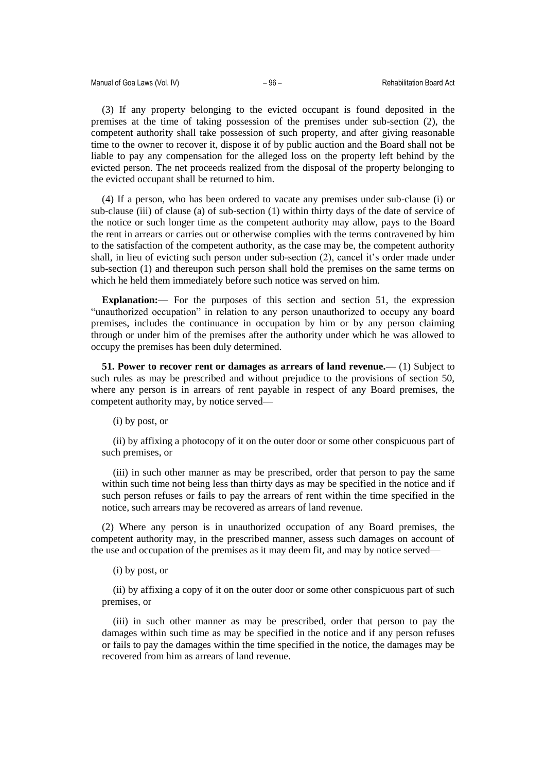(3) If any property belonging to the evicted occupant is found deposited in the premises at the time of taking possession of the premises under sub-section (2), the competent authority shall take possession of such property, and after giving reasonable time to the owner to recover it, dispose it of by public auction and the Board shall not be liable to pay any compensation for the alleged loss on the property left behind by the evicted person. The net proceeds realized from the disposal of the property belonging to the evicted occupant shall be returned to him.

(4) If a person, who has been ordered to vacate any premises under sub-clause (i) or sub-clause (iii) of clause (a) of sub-section (1) within thirty days of the date of service of the notice or such longer time as the competent authority may allow, pays to the Board the rent in arrears or carries out or otherwise complies with the terms contravened by him to the satisfaction of the competent authority, as the case may be, the competent authority shall, in lieu of evicting such person under sub-section (2), cancel it"s order made under sub-section (1) and thereupon such person shall hold the premises on the same terms on which he held them immediately before such notice was served on him.

**Explanation:—** For the purposes of this section and section 51, the expression "unauthorized occupation" in relation to any person unauthorized to occupy any board premises, includes the continuance in occupation by him or by any person claiming through or under him of the premises after the authority under which he was allowed to occupy the premises has been duly determined.

**51. Power to recover rent or damages as arrears of land revenue.—** (1) Subject to such rules as may be prescribed and without prejudice to the provisions of section 50, where any person is in arrears of rent payable in respect of any Board premises, the competent authority may, by notice served—

(i) by post, or

(ii) by affixing a photocopy of it on the outer door or some other conspicuous part of such premises, or

(iii) in such other manner as may be prescribed, order that person to pay the same within such time not being less than thirty days as may be specified in the notice and if such person refuses or fails to pay the arrears of rent within the time specified in the notice, such arrears may be recovered as arrears of land revenue.

(2) Where any person is in unauthorized occupation of any Board premises, the competent authority may, in the prescribed manner, assess such damages on account of the use and occupation of the premises as it may deem fit, and may by notice served—

(i) by post, or

(ii) by affixing a copy of it on the outer door or some other conspicuous part of such premises, or

(iii) in such other manner as may be prescribed, order that person to pay the damages within such time as may be specified in the notice and if any person refuses or fails to pay the damages within the time specified in the notice, the damages may be recovered from him as arrears of land revenue.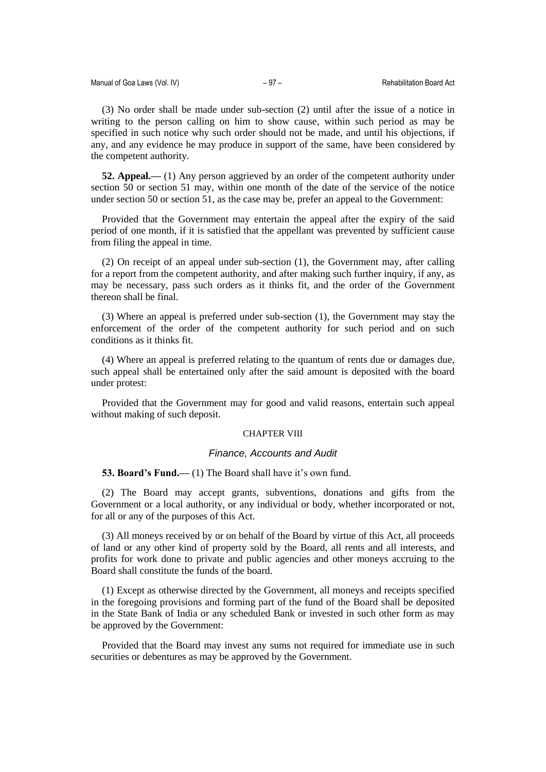Manual of Goa Laws (Vol. IV)  $-97 -$  Rehabilitation Board Act

(3) No order shall be made under sub-section (2) until after the issue of a notice in writing to the person calling on him to show cause, within such period as may be specified in such notice why such order should not be made, and until his objections, if any, and any evidence he may produce in support of the same, have been considered by the competent authority.

**52. Appeal.—** (1) Any person aggrieved by an order of the competent authority under section 50 or section 51 may, within one month of the date of the service of the notice under section 50 or section 51, as the case may be, prefer an appeal to the Government:

Provided that the Government may entertain the appeal after the expiry of the said period of one month, if it is satisfied that the appellant was prevented by sufficient cause from filing the appeal in time.

(2) On receipt of an appeal under sub-section (1), the Government may, after calling for a report from the competent authority, and after making such further inquiry, if any, as may be necessary, pass such orders as it thinks fit, and the order of the Government thereon shall be final.

(3) Where an appeal is preferred under sub-section (1), the Government may stay the enforcement of the order of the competent authority for such period and on such conditions as it thinks fit.

(4) Where an appeal is preferred relating to the quantum of rents due or damages due, such appeal shall be entertained only after the said amount is deposited with the board under protest:

Provided that the Government may for good and valid reasons, entertain such appeal without making of such deposit.

#### CHAPTER VIII

#### *Finance, Accounts and Audit*

**53. Board's Fund.**—(1) The Board shall have it's own fund.

(2) The Board may accept grants, subventions, donations and gifts from the Government or a local authority, or any individual or body, whether incorporated or not, for all or any of the purposes of this Act.

(3) All moneys received by or on behalf of the Board by virtue of this Act, all proceeds of land or any other kind of property sold by the Board, all rents and all interests, and profits for work done to private and public agencies and other moneys accruing to the Board shall constitute the funds of the board.

(1) Except as otherwise directed by the Government, all moneys and receipts specified in the foregoing provisions and forming part of the fund of the Board shall be deposited in the State Bank of India or any scheduled Bank or invested in such other form as may be approved by the Government:

Provided that the Board may invest any sums not required for immediate use in such securities or debentures as may be approved by the Government.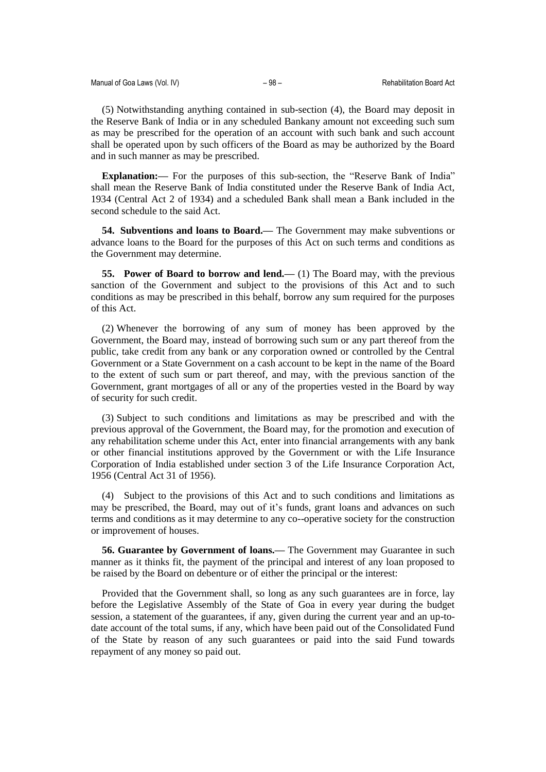(5) Notwithstanding anything contained in sub-section (4), the Board may deposit in the Reserve Bank of India or in any scheduled Bankany amount not exceeding such sum as may be prescribed for the operation of an account with such bank and such account shall be operated upon by such officers of the Board as may be authorized by the Board and in such manner as may be prescribed.

**Explanation:**— For the purposes of this sub-section, the "Reserve Bank of India" shall mean the Reserve Bank of India constituted under the Reserve Bank of India Act, 1934 (Central Act 2 of 1934) and a scheduled Bank shall mean a Bank included in the second schedule to the said Act.

**54. Subventions and loans to Board.—** The Government may make subventions or advance loans to the Board for the purposes of this Act on such terms and conditions as the Government may determine.

**55. Power of Board to borrow and lend.—** (1) The Board may, with the previous sanction of the Government and subject to the provisions of this Act and to such conditions as may be prescribed in this behalf, borrow any sum required for the purposes of this Act.

(2) Whenever the borrowing of any sum of money has been approved by the Government, the Board may, instead of borrowing such sum or any part thereof from the public, take credit from any bank or any corporation owned or controlled by the Central Government or a State Government on a cash account to be kept in the name of the Board to the extent of such sum or part thereof, and may, with the previous sanction of the Government, grant mortgages of all or any of the properties vested in the Board by way of security for such credit.

(3) Subject to such conditions and limitations as may be prescribed and with the previous approval of the Government, the Board may, for the promotion and execution of any rehabilitation scheme under this Act, enter into financial arrangements with any bank or other financial institutions approved by the Government or with the Life Insurance Corporation of India established under section 3 of the Life Insurance Corporation Act, 1956 (Central Act 31 of 1956).

(4) Subject to the provisions of this Act and to such conditions and limitations as may be prescribed, the Board, may out of it's funds, grant loans and advances on such terms and conditions as it may determine to any co--operative society for the construction or improvement of houses.

**56. Guarantee by Government of loans.—** The Government may Guarantee in such manner as it thinks fit, the payment of the principal and interest of any loan proposed to be raised by the Board on debenture or of either the principal or the interest:

Provided that the Government shall, so long as any such guarantees are in force, lay before the Legislative Assembly of the State of Goa in every year during the budget session, a statement of the guarantees, if any, given during the current year and an up-todate account of the total sums, if any, which have been paid out of the Consolidated Fund of the State by reason of any such guarantees or paid into the said Fund towards repayment of any money so paid out.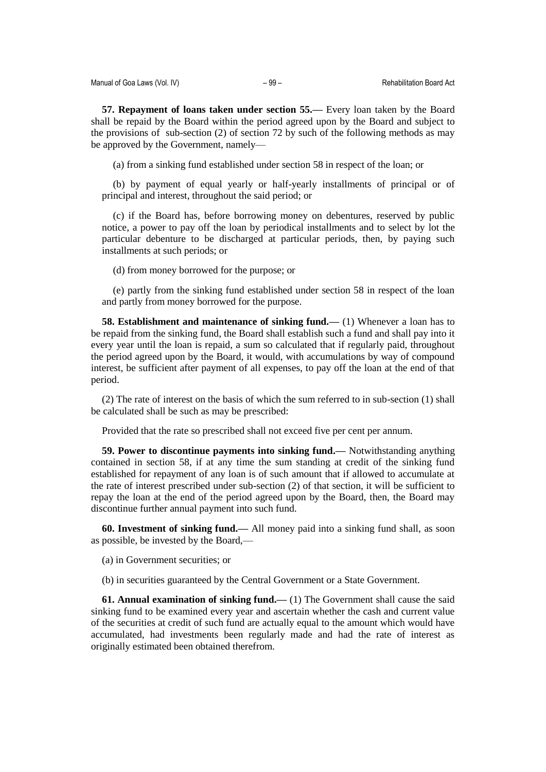**57. Repayment of loans taken under section 55.—** Every loan taken by the Board shall be repaid by the Board within the period agreed upon by the Board and subject to the provisions of sub-section (2) of section 72 by such of the following methods as may be approved by the Government, namely—

(a) from a sinking fund established under section 58 in respect of the loan; or

(b) by payment of equal yearly or half-yearly installments of principal or of principal and interest, throughout the said period; or

(c) if the Board has, before borrowing money on debentures, reserved by public notice, a power to pay off the loan by periodical installments and to select by lot the particular debenture to be discharged at particular periods, then, by paying such installments at such periods; or

(d) from money borrowed for the purpose; or

(e) partly from the sinking fund established under section 58 in respect of the loan and partly from money borrowed for the purpose.

**58. Establishment and maintenance of sinking fund.—** (1) Whenever a loan has to be repaid from the sinking fund, the Board shall establish such a fund and shall pay into it every year until the loan is repaid, a sum so calculated that if regularly paid, throughout the period agreed upon by the Board, it would, with accumulations by way of compound interest, be sufficient after payment of all expenses, to pay off the loan at the end of that period.

(2) The rate of interest on the basis of which the sum referred to in sub-section (1) shall be calculated shall be such as may be prescribed:

Provided that the rate so prescribed shall not exceed five per cent per annum.

**59. Power to discontinue payments into sinking fund.—** Notwithstanding anything contained in section 58, if at any time the sum standing at credit of the sinking fund established for repayment of any loan is of such amount that if allowed to accumulate at the rate of interest prescribed under sub-section (2) of that section, it will be sufficient to repay the loan at the end of the period agreed upon by the Board, then, the Board may discontinue further annual payment into such fund.

**60. Investment of sinking fund.—** All money paid into a sinking fund shall, as soon as possible, be invested by the Board,—

- (a) in Government securities; or
- (b) in securities guaranteed by the Central Government or a State Government.

**61. Annual examination of sinking fund.—** (1) The Government shall cause the said sinking fund to be examined every year and ascertain whether the cash and current value of the securities at credit of such fund are actually equal to the amount which would have accumulated, had investments been regularly made and had the rate of interest as originally estimated been obtained therefrom.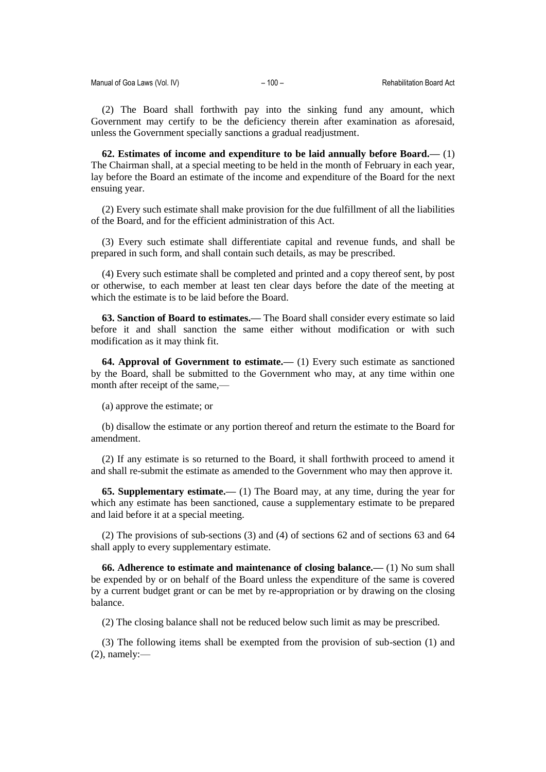Manual of Goa Laws (Vol. IV) – 100 – 100 – Rehabilitation Board Act

(2) The Board shall forthwith pay into the sinking fund any amount, which Government may certify to be the deficiency therein after examination as aforesaid, unless the Government specially sanctions a gradual readjustment.

**62. Estimates of income and expenditure to be laid annually before Board.—** (1) The Chairman shall, at a special meeting to be held in the month of February in each year, lay before the Board an estimate of the income and expenditure of the Board for the next ensuing year.

(2) Every such estimate shall make provision for the due fulfillment of all the liabilities of the Board, and for the efficient administration of this Act.

(3) Every such estimate shall differentiate capital and revenue funds, and shall be prepared in such form, and shall contain such details, as may be prescribed.

(4) Every such estimate shall be completed and printed and a copy thereof sent, by post or otherwise, to each member at least ten clear days before the date of the meeting at which the estimate is to be laid before the Board.

**63. Sanction of Board to estimates.—** The Board shall consider every estimate so laid before it and shall sanction the same either without modification or with such modification as it may think fit.

**64. Approval of Government to estimate.—** (1) Every such estimate as sanctioned by the Board, shall be submitted to the Government who may, at any time within one month after receipt of the same,—

(a) approve the estimate; or

(b) disallow the estimate or any portion thereof and return the estimate to the Board for amendment.

(2) If any estimate is so returned to the Board, it shall forthwith proceed to amend it and shall re-submit the estimate as amended to the Government who may then approve it.

**65. Supplementary estimate.—** (1) The Board may, at any time, during the year for which any estimate has been sanctioned, cause a supplementary estimate to be prepared and laid before it at a special meeting.

(2) The provisions of sub-sections (3) and (4) of sections 62 and of sections 63 and 64 shall apply to every supplementary estimate.

**66. Adherence to estimate and maintenance of closing balance.—** (1) No sum shall be expended by or on behalf of the Board unless the expenditure of the same is covered by a current budget grant or can be met by re-appropriation or by drawing on the closing balance.

(2) The closing balance shall not be reduced below such limit as may be prescribed.

(3) The following items shall be exempted from the provision of sub-section (1) and  $(2)$ , namely:—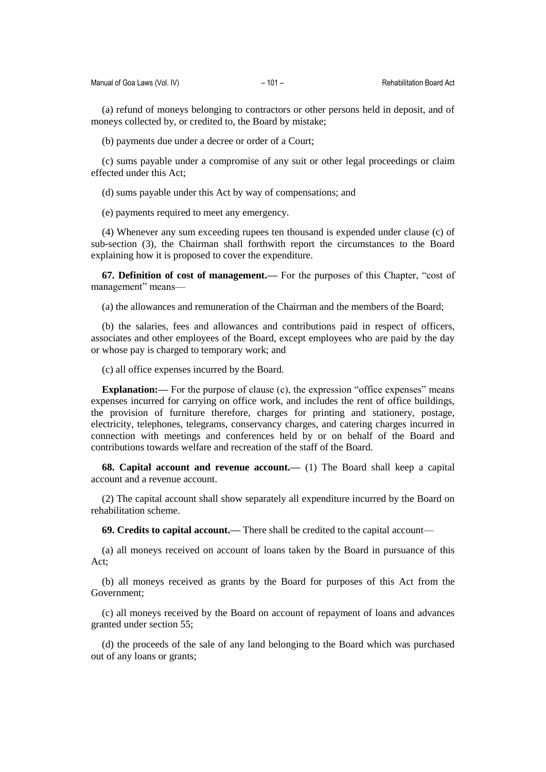Manual of Goa Laws (Vol. IV)  $-101 -$ <br>  $-101 -$ <br>
Rehabilitation Board Act

(a) refund of moneys belonging to contractors or other persons held in deposit, and of moneys collected by, or credited to, the Board by mistake;

(b) payments due under a decree or order of a Court;

(c) sums payable under a compromise of any suit or other legal proceedings or claim effected under this Act;

(d) sums payable under this Act by way of compensations; and

(e) payments required to meet any emergency.

(4) Whenever any sum exceeding rupees ten thousand is expended under clause (c) of sub-section (3), the Chairman shall forthwith report the circumstances to the Board explaining how it is proposed to cover the expenditure.

**67. Definition of cost of management.—** For the purposes of this Chapter, "cost of management" means—

(a) the allowances and remuneration of the Chairman and the members of the Board;

(b) the salaries, fees and allowances and contributions paid in respect of officers, associates and other employees of the Board, except employees who are paid by the day or whose pay is charged to temporary work; and

(c) all office expenses incurred by the Board.

**Explanation:**—— For the purpose of clause (c), the expression "office expenses" means expenses incurred for carrying on office work, and includes the rent of office buildings, the provision of furniture therefore, charges for printing and stationery, postage, electricity, telephones, telegrams, conservancy charges, and catering charges incurred in connection with meetings and conferences held by or on behalf of the Board and contributions towards welfare and recreation of the staff of the Board.

**68. Capital account and revenue account.—** (1) The Board shall keep a capital account and a revenue account.

(2) The capital account shall show separately all expenditure incurred by the Board on rehabilitation scheme.

**69. Credits to capital account.—** There shall be credited to the capital account—

(a) all moneys received on account of loans taken by the Board in pursuance of this Act;

(b) all moneys received as grants by the Board for purposes of this Act from the Government;

(c) all moneys received by the Board on account of repayment of loans and advances granted under section 55;

(d) the proceeds of the sale of any land belonging to the Board which was purchased out of any loans or grants;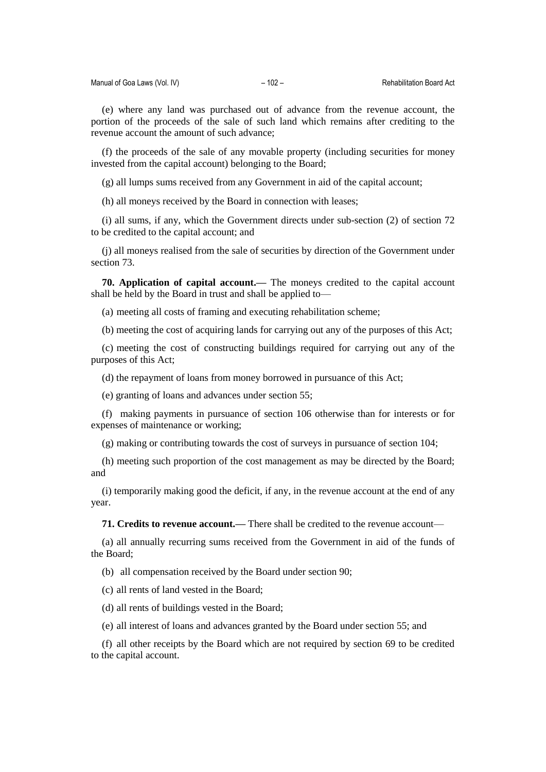Manual of Goa Laws (Vol. IV) – 102 – 102 – Rehabilitation Board Act

(e) where any land was purchased out of advance from the revenue account, the portion of the proceeds of the sale of such land which remains after crediting to the revenue account the amount of such advance;

(f) the proceeds of the sale of any movable property (including securities for money invested from the capital account) belonging to the Board;

(g) all lumps sums received from any Government in aid of the capital account;

(h) all moneys received by the Board in connection with leases;

(i) all sums, if any, which the Government directs under sub-section (2) of section 72 to be credited to the capital account; and

(j) all moneys realised from the sale of securities by direction of the Government under section 73.

**70. Application of capital account.—** The moneys credited to the capital account shall be held by the Board in trust and shall be applied to—

(a) meeting all costs of framing and executing rehabilitation scheme;

(b) meeting the cost of acquiring lands for carrying out any of the purposes of this Act;

(c) meeting the cost of constructing buildings required for carrying out any of the purposes of this Act;

(d) the repayment of loans from money borrowed in pursuance of this Act;

(e) granting of loans and advances under section 55;

(f) making payments in pursuance of section 106 otherwise than for interests or for expenses of maintenance or working;

(g) making or contributing towards the cost of surveys in pursuance of section 104;

(h) meeting such proportion of the cost management as may be directed by the Board; and

(i) temporarily making good the deficit, if any, in the revenue account at the end of any year.

**71. Credits to revenue account.—** There shall be credited to the revenue account—

(a) all annually recurring sums received from the Government in aid of the funds of the Board;

(b) all compensation received by the Board under section 90;

(c) all rents of land vested in the Board;

(d) all rents of buildings vested in the Board;

(e) all interest of loans and advances granted by the Board under section 55; and

(f) all other receipts by the Board which are not required by section 69 to be credited to the capital account.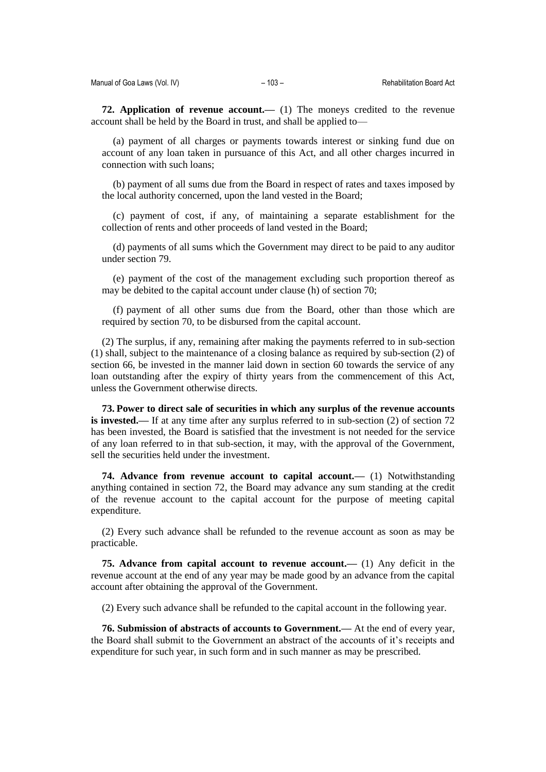**72. Application of revenue account.—** (1) The moneys credited to the revenue account shall be held by the Board in trust, and shall be applied to—

(a) payment of all charges or payments towards interest or sinking fund due on account of any loan taken in pursuance of this Act, and all other charges incurred in connection with such loans;

(b) payment of all sums due from the Board in respect of rates and taxes imposed by the local authority concerned, upon the land vested in the Board;

(c) payment of cost, if any, of maintaining a separate establishment for the collection of rents and other proceeds of land vested in the Board;

(d) payments of all sums which the Government may direct to be paid to any auditor under section 79.

(e) payment of the cost of the management excluding such proportion thereof as may be debited to the capital account under clause (h) of section 70;

(f) payment of all other sums due from the Board, other than those which are required by section 70, to be disbursed from the capital account.

(2) The surplus, if any, remaining after making the payments referred to in sub-section (1) shall, subject to the maintenance of a closing balance as required by sub-section (2) of section 66, be invested in the manner laid down in section 60 towards the service of any loan outstanding after the expiry of thirty years from the commencement of this Act, unless the Government otherwise directs.

**73. Power to direct sale of securities in which any surplus of the revenue accounts is invested.—** If at any time after any surplus referred to in sub-section (2) of section 72 has been invested, the Board is satisfied that the investment is not needed for the service of any loan referred to in that sub-section, it may, with the approval of the Government, sell the securities held under the investment.

**74. Advance from revenue account to capital account.—** (1) Notwithstanding anything contained in section 72, the Board may advance any sum standing at the credit of the revenue account to the capital account for the purpose of meeting capital expenditure.

(2) Every such advance shall be refunded to the revenue account as soon as may be practicable.

**75. Advance from capital account to revenue account.—** (1) Any deficit in the revenue account at the end of any year may be made good by an advance from the capital account after obtaining the approval of the Government.

(2) Every such advance shall be refunded to the capital account in the following year.

**76. Submission of abstracts of accounts to Government.—** At the end of every year, the Board shall submit to the Government an abstract of the accounts of it"s receipts and expenditure for such year, in such form and in such manner as may be prescribed.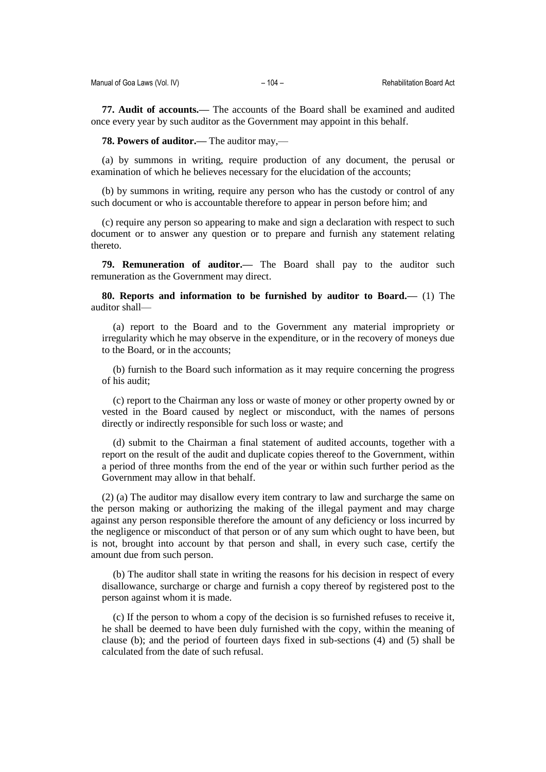**77. Audit of accounts.—** The accounts of the Board shall be examined and audited once every year by such auditor as the Government may appoint in this behalf.

**78. Powers of auditor.—** The auditor may,—

(a) by summons in writing, require production of any document, the perusal or examination of which he believes necessary for the elucidation of the accounts;

(b) by summons in writing, require any person who has the custody or control of any such document or who is accountable therefore to appear in person before him; and

(c) require any person so appearing to make and sign a declaration with respect to such document or to answer any question or to prepare and furnish any statement relating thereto.

**79. Remuneration of auditor.—** The Board shall pay to the auditor such remuneration as the Government may direct.

**80. Reports and information to be furnished by auditor to Board.—** (1) The auditor shall—

(a) report to the Board and to the Government any material impropriety or irregularity which he may observe in the expenditure, or in the recovery of moneys due to the Board, or in the accounts;

(b) furnish to the Board such information as it may require concerning the progress of his audit;

(c) report to the Chairman any loss or waste of money or other property owned by or vested in the Board caused by neglect or misconduct, with the names of persons directly or indirectly responsible for such loss or waste; and

(d) submit to the Chairman a final statement of audited accounts, together with a report on the result of the audit and duplicate copies thereof to the Government, within a period of three months from the end of the year or within such further period as the Government may allow in that behalf.

(2) (a) The auditor may disallow every item contrary to law and surcharge the same on the person making or authorizing the making of the illegal payment and may charge against any person responsible therefore the amount of any deficiency or loss incurred by the negligence or misconduct of that person or of any sum which ought to have been, but is not, brought into account by that person and shall, in every such case, certify the amount due from such person.

(b) The auditor shall state in writing the reasons for his decision in respect of every disallowance, surcharge or charge and furnish a copy thereof by registered post to the person against whom it is made.

(c) If the person to whom a copy of the decision is so furnished refuses to receive it, he shall be deemed to have been duly furnished with the copy, within the meaning of clause (b); and the period of fourteen days fixed in sub-sections (4) and (5) shall be calculated from the date of such refusal.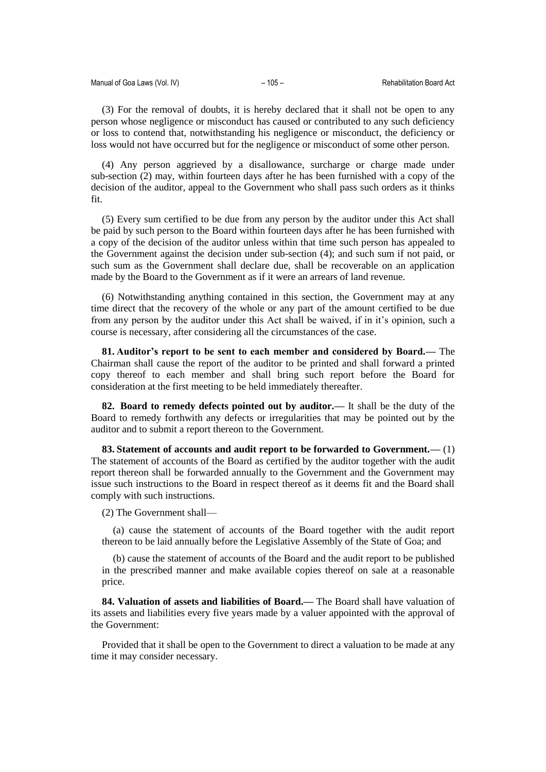(3) For the removal of doubts, it is hereby declared that it shall not be open to any person whose negligence or misconduct has caused or contributed to any such deficiency or loss to contend that, notwithstanding his negligence or misconduct, the deficiency or loss would not have occurred but for the negligence or misconduct of some other person.

(4) Any person aggrieved by a disallowance, surcharge or charge made under sub-section (2) may, within fourteen days after he has been furnished with a copy of the decision of the auditor, appeal to the Government who shall pass such orders as it thinks fit.

(5) Every sum certified to be due from any person by the auditor under this Act shall be paid by such person to the Board within fourteen days after he has been furnished with a copy of the decision of the auditor unless within that time such person has appealed to the Government against the decision under sub-section (4); and such sum if not paid, or such sum as the Government shall declare due, shall be recoverable on an application made by the Board to the Government as if it were an arrears of land revenue.

(6) Notwithstanding anything contained in this section, the Government may at any time direct that the recovery of the whole or any part of the amount certified to be due from any person by the auditor under this Act shall be waived, if in it"s opinion, such a course is necessary, after considering all the circumstances of the case.

**81. Auditor's report to be sent to each member and considered by Board.—** The Chairman shall cause the report of the auditor to be printed and shall forward a printed copy thereof to each member and shall bring such report before the Board for consideration at the first meeting to be held immediately thereafter.

**82. Board to remedy defects pointed out by auditor.—** It shall be the duty of the Board to remedy forthwith any defects or irregularities that may be pointed out by the auditor and to submit a report thereon to the Government.

**83. Statement of accounts and audit report to be forwarded to Government.—** (1) The statement of accounts of the Board as certified by the auditor together with the audit report thereon shall be forwarded annually to the Government and the Government may issue such instructions to the Board in respect thereof as it deems fit and the Board shall comply with such instructions.

(2) The Government shall—

(a) cause the statement of accounts of the Board together with the audit report thereon to be laid annually before the Legislative Assembly of the State of Goa; and

(b) cause the statement of accounts of the Board and the audit report to be published in the prescribed manner and make available copies thereof on sale at a reasonable price.

**84. Valuation of assets and liabilities of Board.—** The Board shall have valuation of its assets and liabilities every five years made by a valuer appointed with the approval of the Government:

Provided that it shall be open to the Government to direct a valuation to be made at any time it may consider necessary.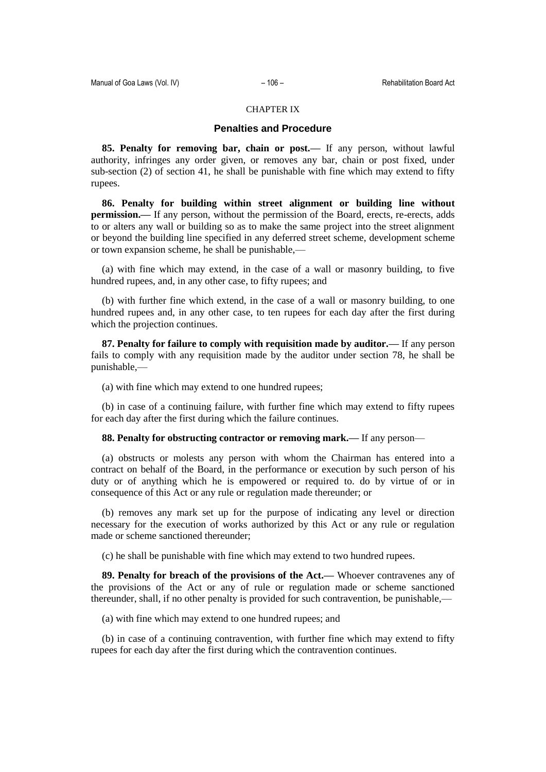#### CHAPTER IX

#### **Penalties and Procedure**

**85. Penalty for removing bar, chain or post.—** If any person, without lawful authority, infringes any order given, or removes any bar, chain or post fixed, under sub-section (2) of section 41, he shall be punishable with fine which may extend to fifty rupees.

**86. Penalty for building within street alignment or building line without permission.—** If any person, without the permission of the Board, erects, re-erects, adds to or alters any wall or building so as to make the same project into the street alignment or beyond the building line specified in any deferred street scheme, development scheme or town expansion scheme, he shall be punishable,—

(a) with fine which may extend, in the case of a wall or masonry building, to five hundred rupees, and, in any other case, to fifty rupees; and

(b) with further fine which extend, in the case of a wall or masonry building, to one hundred rupees and, in any other case, to ten rupees for each day after the first during which the projection continues.

**87. Penalty for failure to comply with requisition made by auditor.—** If any person fails to comply with any requisition made by the auditor under section 78, he shall be punishable,—

(a) with fine which may extend to one hundred rupees;

(b) in case of a continuing failure, with further fine which may extend to fifty rupees for each day after the first during which the failure continues.

# **88. Penalty for obstructing contractor or removing mark.—** If any person—

(a) obstructs or molests any person with whom the Chairman has entered into a contract on behalf of the Board, in the performance or execution by such person of his duty or of anything which he is empowered or required to. do by virtue of or in consequence of this Act or any rule or regulation made thereunder; or

(b) removes any mark set up for the purpose of indicating any level or direction necessary for the execution of works authorized by this Act or any rule or regulation made or scheme sanctioned thereunder;

(c) he shall be punishable with fine which may extend to two hundred rupees.

**89. Penalty for breach of the provisions of the Act.—** Whoever contravenes any of the provisions of the Act or any of rule or regulation made or scheme sanctioned thereunder, shall, if no other penalty is provided for such contravention, be punishable,—

(a) with fine which may extend to one hundred rupees; and

(b) in case of a continuing contravention, with further fine which may extend to fifty rupees for each day after the first during which the contravention continues.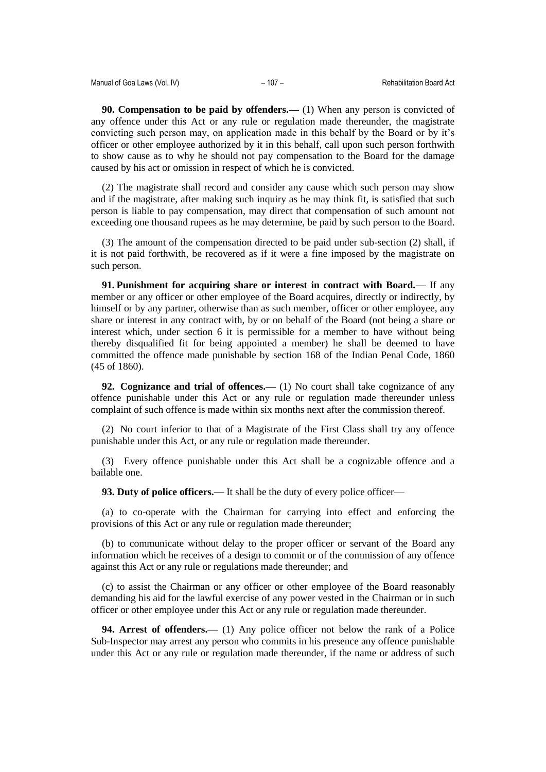**90. Compensation to be paid by offenders.—** (1) When any person is convicted of any offence under this Act or any rule or regulation made thereunder, the magistrate convicting such person may, on application made in this behalf by the Board or by it"s officer or other employee authorized by it in this behalf, call upon such person forthwith to show cause as to why he should not pay compensation to the Board for the damage caused by his act or omission in respect of which he is convicted.

(2) The magistrate shall record and consider any cause which such person may show and if the magistrate, after making such inquiry as he may think fit, is satisfied that such person is liable to pay compensation, may direct that compensation of such amount not exceeding one thousand rupees as he may determine, be paid by such person to the Board.

(3) The amount of the compensation directed to be paid under sub-section (2) shall, if it is not paid forthwith, be recovered as if it were a fine imposed by the magistrate on such person.

**91. Punishment for acquiring share or interest in contract with Board.—** If any member or any officer or other employee of the Board acquires, directly or indirectly, by himself or by any partner, otherwise than as such member, officer or other employee, any share or interest in any contract with, by or on behalf of the Board (not being a share or interest which, under section 6 it is permissible for a member to have without being thereby disqualified fit for being appointed a member) he shall be deemed to have committed the offence made punishable by section 168 of the Indian Penal Code, 1860 (45 of 1860).

**92. Cognizance and trial of offences.—** (1) No court shall take cognizance of any offence punishable under this Act or any rule or regulation made thereunder unless complaint of such offence is made within six months next after the commission thereof.

(2) No court inferior to that of a Magistrate of the First Class shall try any offence punishable under this Act, or any rule or regulation made thereunder.

(3) Every offence punishable under this Act shall be a cognizable offence and a bailable one.

**93. Duty of police officers.—** It shall be the duty of every police officer—

(a) to co-operate with the Chairman for carrying into effect and enforcing the provisions of this Act or any rule or regulation made thereunder;

(b) to communicate without delay to the proper officer or servant of the Board any information which he receives of a design to commit or of the commission of any offence against this Act or any rule or regulations made thereunder; and

(c) to assist the Chairman or any officer or other employee of the Board reasonably demanding his aid for the lawful exercise of any power vested in the Chairman or in such officer or other employee under this Act or any rule or regulation made thereunder.

**94. Arrest of offenders.—** (1) Any police officer not below the rank of a Police Sub-Inspector may arrest any person who commits in his presence any offence punishable under this Act or any rule or regulation made thereunder, if the name or address of such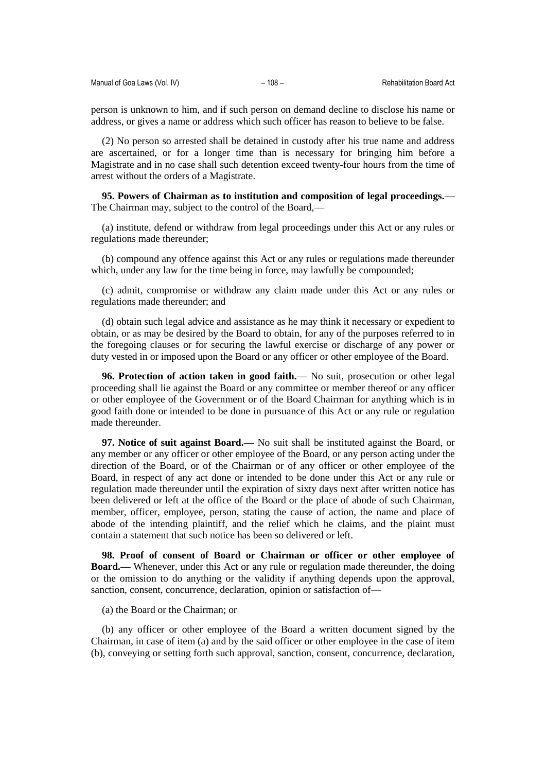person is unknown to him, and if such person on demand decline to disclose his name or address, or gives a name or address which such officer has reason to believe to be false.

(2) No person so arrested shall be detained in custody after his true name and address are ascertained, or for a longer time than is necessary for bringing him before a Magistrate and in no case shall such detention exceed twenty-four hours from the time of arrest without the orders of a Magistrate.

**95. Powers of Chairman as to institution and composition of legal proceedings.—** The Chairman may, subject to the control of the Board,—

(a) institute, defend or withdraw from legal proceedings under this Act or any rules or regulations made thereunder;

(b) compound any offence against this Act or any rules or regulations made thereunder which, under any law for the time being in force, may lawfully be compounded;

(c) admit, compromise or withdraw any claim made under this Act or any rules or regulations made thereunder; and

(d) obtain such legal advice and assistance as he may think it necessary or expedient to obtain, or as may be desired by the Board to obtain, for any of the purposes referred to in the foregoing clauses or for securing the lawful exercise or discharge of any power or duty vested in or imposed upon the Board or any officer or other employee of the Board.

**96. Protection of action taken in good faith.—** No suit, prosecution or other legal proceeding shall lie against the Board or any committee or member thereof or any officer or other employee of the Government or of the Board Chairman for anything which is in good faith done or intended to be done in pursuance of this Act or any rule or regulation made thereunder.

**97. Notice of suit against Board.—** No suit shall be instituted against the Board, or any member or any officer or other employee of the Board, or any person acting under the direction of the Board, or of the Chairman or of any officer or other employee of the Board, in respect of any act done or intended to be done under this Act or any rule or regulation made thereunder until the expiration of sixty days next after written notice has been delivered or left at the office of the Board or the place of abode of such Chairman, member, officer, employee, person, stating the cause of action, the name and place of abode of the intending plaintiff, and the relief which he claims, and the plaint must contain a statement that such notice has been so delivered or left.

**98. Proof of consent of Board or Chairman or officer or other employee of Board.—** Whenever, under this Act or any rule or regulation made thereunder, the doing or the omission to do anything or the validity if anything depends upon the approval, sanction, consent, concurrence, declaration, opinion or satisfaction of—

(a) the Board or the Chairman; or

(b) any officer or other employee of the Board a written document signed by the Chairman, in case of item (a) and by the said officer or other employee in the case of item (b), conveying or setting forth such approval, sanction, consent, concurrence, declaration,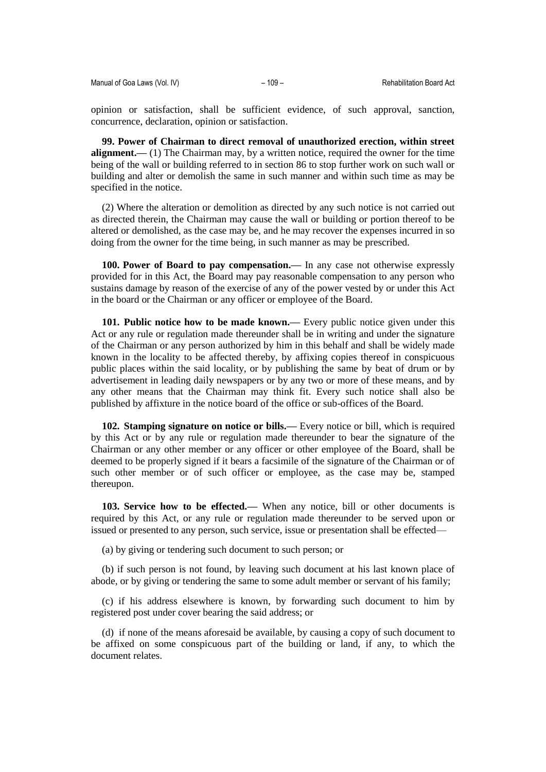opinion or satisfaction, shall be sufficient evidence, of such approval, sanction, concurrence, declaration, opinion or satisfaction.

**99. Power of Chairman to direct removal of unauthorized erection, within street alignment.—** (1) The Chairman may, by a written notice, required the owner for the time being of the wall or building referred to in section 86 to stop further work on such wall or building and alter or demolish the same in such manner and within such time as may be specified in the notice.

(2) Where the alteration or demolition as directed by any such notice is not carried out as directed therein, the Chairman may cause the wall or building or portion thereof to be altered or demolished, as the case may be, and he may recover the expenses incurred in so doing from the owner for the time being, in such manner as may be prescribed.

**100. Power of Board to pay compensation.—** In any case not otherwise expressly provided for in this Act, the Board may pay reasonable compensation to any person who sustains damage by reason of the exercise of any of the power vested by or under this Act in the board or the Chairman or any officer or employee of the Board.

**101. Public notice how to be made known.—** Every public notice given under this Act or any rule or regulation made thereunder shall be in writing and under the signature of the Chairman or any person authorized by him in this behalf and shall be widely made known in the locality to be affected thereby, by affixing copies thereof in conspicuous public places within the said locality, or by publishing the same by beat of drum or by advertisement in leading daily newspapers or by any two or more of these means, and by any other means that the Chairman may think fit. Every such notice shall also be published by affixture in the notice board of the office or sub-offices of the Board.

**102. Stamping signature on notice or bills.—** Every notice or bill, which is required by this Act or by any rule or regulation made thereunder to bear the signature of the Chairman or any other member or any officer or other employee of the Board, shall be deemed to be properly signed if it bears a facsimile of the signature of the Chairman or of such other member or of such officer or employee, as the case may be, stamped thereupon.

**103. Service how to be effected.—** When any notice, bill or other documents is required by this Act, or any rule or regulation made thereunder to be served upon or issued or presented to any person, such service, issue or presentation shall be effected—

(a) by giving or tendering such document to such person; or

(b) if such person is not found, by leaving such document at his last known place of abode, or by giving or tendering the same to some adult member or servant of his family;

(c) if his address elsewhere is known, by forwarding such document to him by registered post under cover bearing the said address; or

(d) if none of the means aforesaid be available, by causing a copy of such document to be affixed on some conspicuous part of the building or land, if any, to which the document relates.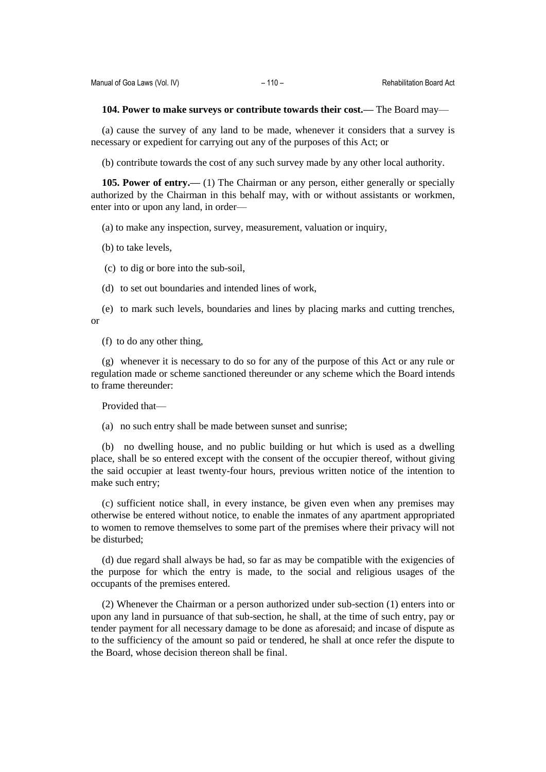#### **104. Power to make surveys or contribute towards their cost.—** The Board may—

(a) cause the survey of any land to be made, whenever it considers that a survey is necessary or expedient for carrying out any of the purposes of this Act; or

(b) contribute towards the cost of any such survey made by any other local authority.

**105. Power of entry.—** (1) The Chairman or any person, either generally or specially authorized by the Chairman in this behalf may, with or without assistants or workmen, enter into or upon any land, in order—

(a) to make any inspection, survey, measurement, valuation or inquiry,

(b) to take levels,

- (c) to dig or bore into the sub-soil,
- (d) to set out boundaries and intended lines of work,
- (e) to mark such levels, boundaries and lines by placing marks and cutting trenches, or

(f) to do any other thing,

(g) whenever it is necessary to do so for any of the purpose of this Act or any rule or regulation made or scheme sanctioned thereunder or any scheme which the Board intends to frame thereunder:

Provided that—

(a) no such entry shall be made between sunset and sunrise;

(b) no dwelling house, and no public building or hut which is used as a dwelling place, shall be so entered except with the consent of the occupier thereof, without giving the said occupier at least twenty-four hours, previous written notice of the intention to make such entry;

(c) sufficient notice shall, in every instance, be given even when any premises may otherwise be entered without notice, to enable the inmates of any apartment appropriated to women to remove themselves to some part of the premises where their privacy will not be disturbed;

(d) due regard shall always be had, so far as may be compatible with the exigencies of the purpose for which the entry is made, to the social and religious usages of the occupants of the premises entered.

(2) Whenever the Chairman or a person authorized under sub-section (1) enters into or upon any land in pursuance of that sub-section, he shall, at the time of such entry, pay or tender payment for all necessary damage to be done as aforesaid; and incase of dispute as to the sufficiency of the amount so paid or tendered, he shall at once refer the dispute to the Board, whose decision thereon shall be final.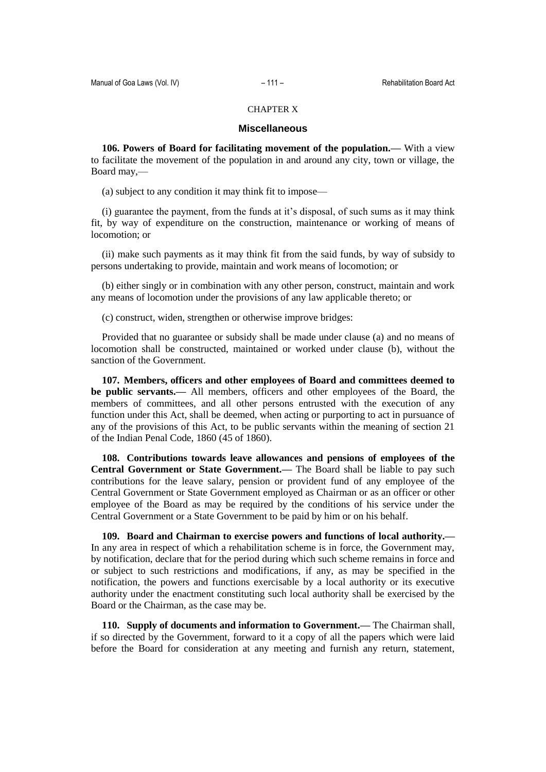#### CHAPTER X

#### **Miscellaneous**

**106. Powers of Board for facilitating movement of the population.—** With a view to facilitate the movement of the population in and around any city, town or village, the Board may,—

(a) subject to any condition it may think fit to impose—

(i) guarantee the payment, from the funds at it"s disposal, of such sums as it may think fit, by way of expenditure on the construction, maintenance or working of means of locomotion; or

(ii) make such payments as it may think fit from the said funds, by way of subsidy to persons undertaking to provide, maintain and work means of locomotion; or

(b) either singly or in combination with any other person, construct, maintain and work any means of locomotion under the provisions of any law applicable thereto; or

(c) construct, widen, strengthen or otherwise improve bridges:

Provided that no guarantee or subsidy shall be made under clause (a) and no means of locomotion shall be constructed, maintained or worked under clause (b), without the sanction of the Government.

**107. Members, officers and other employees of Board and committees deemed to be public servants.—** All members, officers and other employees of the Board, the members of committees, and all other persons entrusted with the execution of any function under this Act, shall be deemed, when acting or purporting to act in pursuance of any of the provisions of this Act, to be public servants within the meaning of section 21 of the Indian Penal Code, 1860 (45 of 1860).

**108. Contributions towards leave allowances and pensions of employees of the Central Government or State Government.—** The Board shall be liable to pay such contributions for the leave salary, pension or provident fund of any employee of the Central Government or State Government employed as Chairman or as an officer or other employee of the Board as may be required by the conditions of his service under the Central Government or a State Government to be paid by him or on his behalf.

**109. Board and Chairman to exercise powers and functions of local authority.—** In any area in respect of which a rehabilitation scheme is in force, the Government may, by notification, declare that for the period during which such scheme remains in force and or subject to such restrictions and modifications, if any, as may be specified in the notification, the powers and functions exercisable by a local authority or its executive authority under the enactment constituting such local authority shall be exercised by the Board or the Chairman, as the case may be.

**110. Supply of documents and information to Government.—** The Chairman shall, if so directed by the Government, forward to it a copy of all the papers which were laid before the Board for consideration at any meeting and furnish any return, statement,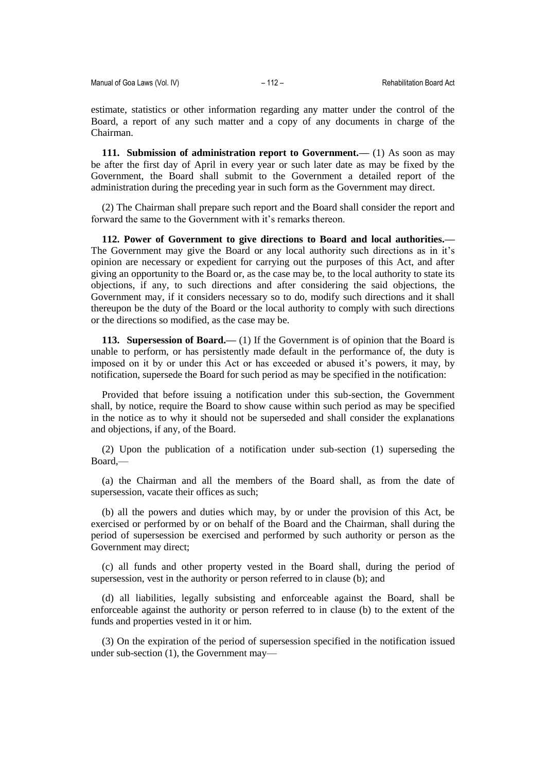estimate, statistics or other information regarding any matter under the control of the Board, a report of any such matter and a copy of any documents in charge of the Chairman.

**111. Submission of administration report to Government.—** (1) As soon as may be after the first day of April in every year or such later date as may be fixed by the Government, the Board shall submit to the Government a detailed report of the administration during the preceding year in such form as the Government may direct.

(2) The Chairman shall prepare such report and the Board shall consider the report and forward the same to the Government with it's remarks thereon.

**112. Power of Government to give directions to Board and local authorities.—** The Government may give the Board or any local authority such directions as in it's opinion are necessary or expedient for carrying out the purposes of this Act, and after giving an opportunity to the Board or, as the case may be, to the local authority to state its objections, if any, to such directions and after considering the said objections, the Government may, if it considers necessary so to do, modify such directions and it shall thereupon be the duty of the Board or the local authority to comply with such directions or the directions so modified, as the case may be.

**113. Supersession of Board.—** (1) If the Government is of opinion that the Board is unable to perform, or has persistently made default in the performance of, the duty is imposed on it by or under this Act or has exceeded or abused it's powers, it may, by notification, supersede the Board for such period as may be specified in the notification:

Provided that before issuing a notification under this sub-section, the Government shall, by notice, require the Board to show cause within such period as may be specified in the notice as to why it should not be superseded and shall consider the explanations and objections, if any, of the Board.

(2) Upon the publication of a notification under sub-section (1) superseding the Board,—

(a) the Chairman and all the members of the Board shall, as from the date of supersession, vacate their offices as such;

(b) all the powers and duties which may, by or under the provision of this Act, be exercised or performed by or on behalf of the Board and the Chairman, shall during the period of supersession be exercised and performed by such authority or person as the Government may direct;

(c) all funds and other property vested in the Board shall, during the period of supersession, vest in the authority or person referred to in clause (b); and

(d) all liabilities, legally subsisting and enforceable against the Board, shall be enforceable against the authority or person referred to in clause (b) to the extent of the funds and properties vested in it or him.

(3) On the expiration of the period of supersession specified in the notification issued under sub-section (1), the Government may—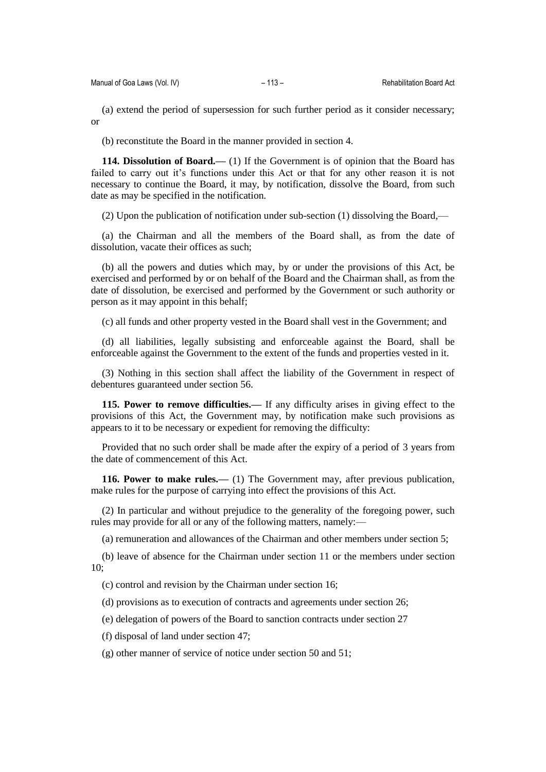(a) extend the period of supersession for such further period as it consider necessary; or

(b) reconstitute the Board in the manner provided in section 4.

**114. Dissolution of Board.—** (1) If the Government is of opinion that the Board has failed to carry out it's functions under this Act or that for any other reason it is not necessary to continue the Board, it may, by notification, dissolve the Board, from such date as may be specified in the notification.

(2) Upon the publication of notification under sub-section (1) dissolving the Board,—

(a) the Chairman and all the members of the Board shall, as from the date of dissolution, vacate their offices as such;

(b) all the powers and duties which may, by or under the provisions of this Act, be exercised and performed by or on behalf of the Board and the Chairman shall, as from the date of dissolution, be exercised and performed by the Government or such authority or person as it may appoint in this behalf;

(c) all funds and other property vested in the Board shall vest in the Government; and

(d) all liabilities, legally subsisting and enforceable against the Board, shall be enforceable against the Government to the extent of the funds and properties vested in it.

(3) Nothing in this section shall affect the liability of the Government in respect of debentures guaranteed under section 56.

**115. Power to remove difficulties.—** If any difficulty arises in giving effect to the provisions of this Act, the Government may, by notification make such provisions as appears to it to be necessary or expedient for removing the difficulty:

Provided that no such order shall be made after the expiry of a period of 3 years from the date of commencement of this Act.

**116. Power to make rules.—** (1) The Government may, after previous publication, make rules for the purpose of carrying into effect the provisions of this Act.

(2) In particular and without prejudice to the generality of the foregoing power, such rules may provide for all or any of the following matters, namely:—

(a) remuneration and allowances of the Chairman and other members under section 5;

(b) leave of absence for the Chairman under section 11 or the members under section 10;

(c) control and revision by the Chairman under section 16;

(d) provisions as to execution of contracts and agreements under section 26;

(e) delegation of powers of the Board to sanction contracts under section 27

(f) disposal of land under section 47;

(g) other manner of service of notice under section 50 and 51;